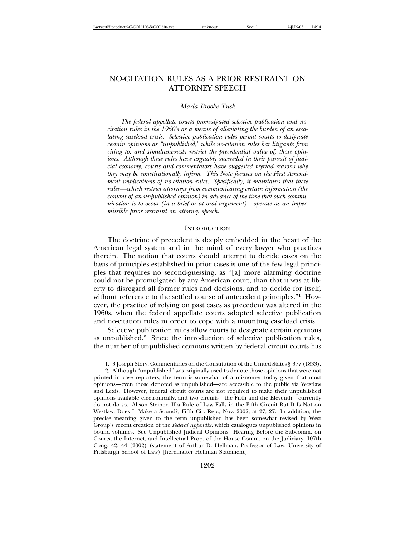# NO-CITATION RULES AS A PRIOR RESTRAINT ON ATTORNEY SPEECH

#### *Marla Brooke Tusk*

*The federal appellate courts promulgated selective publication and nocitation rules in the 1960's as a means of alleviating the burden of an escalating caseload crisis. Selective publication rules permit courts to designate certain opinions as "unpublished," while no-citation rules bar litigants from citing to, and simultaneously restrict the precedential value of, those opinions. Although these rules have arguably succeeded in their pursuit of judicial economy, courts and commentators have suggested myriad reasons why they may be constitutionally infirm. This Note focuses on the First Amendment implications of no-citation rules. Specifically, it maintains that these rules—which restrict attorneys from communicating certain information (the content of an unpublished opinion) in advance of the time that such communication is to occur (in a brief or at oral argument)—operate as an impermissible prior restraint on attorney speech.*

#### **INTRODUCTION**

The doctrine of precedent is deeply embedded in the heart of the American legal system and in the mind of every lawyer who practices therein. The notion that courts should attempt to decide cases on the basis of principles established in prior cases is one of the few legal principles that requires no second-guessing, as "[a] more alarming doctrine could not be promulgated by any American court, than that it was at liberty to disregard all former rules and decisions, and to decide for itself, without reference to the settled course of antecedent principles."<sup>1</sup> However, the practice of relying on past cases as precedent was altered in the 1960s, when the federal appellate courts adopted selective publication and no-citation rules in order to cope with a mounting caseload crisis.

Selective publication rules allow courts to designate certain opinions as unpublished.2 Since the introduction of selective publication rules, the number of unpublished opinions written by federal circuit courts has

<sup>1. 3</sup> Joseph Story, Commentaries on the Constitution of the United States § 377 (1833).

<sup>2.</sup> Although "unpublished" was originally used to denote those opinions that were not printed in case reporters, the term is somewhat of a misnomer today given that most opinions—even those denoted as unpublished—are accessible to the public via Westlaw and Lexis. However, federal circuit courts are not required to make their unpublished opinions available electronically, and two circuits—the Fifth and the Eleventh—currently do not do so. Alison Steiner, If a Rule of Law Falls in the Fifth Circuit But It Is Not on Westlaw, Does It Make a Sound?, Fifth Cir. Rep., Nov. 2002, at 27, 27. In addition, the precise meaning given to the term unpublished has been somewhat revised by West Group's recent creation of the *Federal Appendix*, which catalogues unpublished opinions in bound volumes. See Unpublished Judicial Opinions: Hearing Before the Subcomm. on Courts, the Internet, and Intellectual Prop. of the House Comm. on the Judiciary, 107th Cong. 42, 44 (2002) (statement of Arthur D. Hellman, Professor of Law, University of Pittsburgh School of Law) [hereinafter Hellman Statement].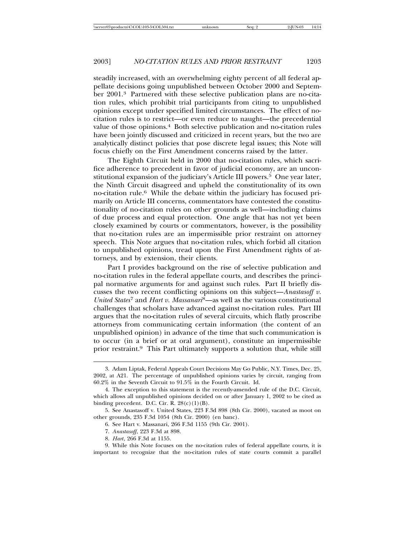steadily increased, with an overwhelming eighty percent of all federal appellate decisions going unpublished between October 2000 and September 2001.3 Partnered with these selective publication plans are no-citation rules, which prohibit trial participants from citing to unpublished opinions except under specified limited circumstances. The effect of nocitation rules is to restrict—or even reduce to naught—the precedential value of those opinions.<sup>4</sup> Both selective publication and no-citation rules have been jointly discussed and criticized in recent years, but the two are analytically distinct policies that pose discrete legal issues; this Note will focus chiefly on the First Amendment concerns raised by the latter.

The Eighth Circuit held in 2000 that no-citation rules, which sacrifice adherence to precedent in favor of judicial economy, are an unconstitutional expansion of the judiciary's Article III powers.<sup>5</sup> One year later, the Ninth Circuit disagreed and upheld the constitutionality of its own no-citation rule.6 While the debate within the judiciary has focused primarily on Article III concerns, commentators have contested the constitutionality of no-citation rules on other grounds as well—including claims of due process and equal protection. One angle that has not yet been closely examined by courts or commentators, however, is the possibility that no-citation rules are an impermissible prior restraint on attorney speech. This Note argues that no-citation rules, which forbid all citation to unpublished opinions, tread upon the First Amendment rights of attorneys, and by extension, their clients.

Part I provides background on the rise of selective publication and no-citation rules in the federal appellate courts, and describes the principal normative arguments for and against such rules. Part II briefly discusses the two recent conflicting opinions on this subject—*Anastasoff v. United States*7 and *Hart v. Massanari*8—as well as the various constitutional challenges that scholars have advanced against no-citation rules. Part III argues that the no-citation rules of several circuits, which flatly proscribe attorneys from communicating certain information (the content of an unpublished opinion) in advance of the time that such communication is to occur (in a brief or at oral argument), constitute an impermissible prior restraint.9 This Part ultimately supports a solution that, while still

<sup>3.</sup> Adam Liptak, Federal Appeals Court Decisions May Go Public, N.Y. Times, Dec. 25, 2002, at A21. The percentage of unpublished opinions varies by circuit, ranging from 60.2% in the Seventh Circuit to 91.5% in the Fourth Circuit. Id.

<sup>4.</sup> The exception to this statement is the recently-amended rule of the D.C. Circuit, which allows all unpublished opinions decided on or after January 1, 2002 to be cited as binding precedent. D.C. Cir. R.  $28(c)(1)(B)$ .

<sup>5.</sup> See Anastasoff v. United States, 223 F.3d 898 (8th Cir. 2000), vacated as moot on other grounds, 235 F.3d 1054 (8th Cir. 2000) (en banc).

<sup>6.</sup> See Hart v. Massanari, 266 F.3d 1155 (9th Cir. 2001).

<sup>7.</sup> *Anastasoff*, 223 F.3d at 898.

<sup>8.</sup> *Hart*, 266 F.3d at 1155.

<sup>9.</sup> While this Note focuses on the no-citation rules of federal appellate courts, it is important to recognize that the no-citation rules of state courts commit a parallel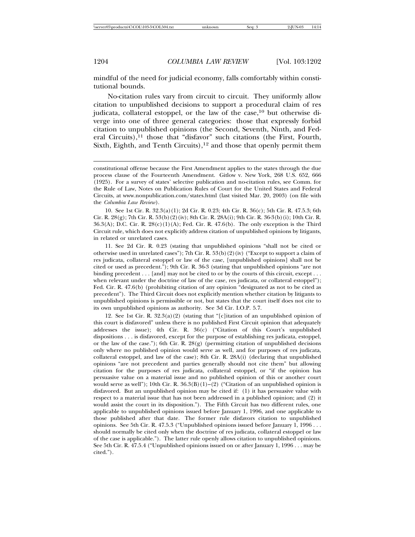mindful of the need for judicial economy, falls comfortably within constitutional bounds.

No-citation rules vary from circuit to circuit. They uniformly allow citation to unpublished decisions to support a procedural claim of res judicata, collateral estoppel, or the law of the case,  $10$  but otherwise diverge into one of three general categories: those that expressly forbid citation to unpublished opinions (the Second, Seventh, Ninth, and Federal Circuits), $11$  those that "disfavor" such citations (the First, Fourth, Sixth, Eighth, and Tenth Circuits),<sup>12</sup> and those that openly permit them

10. See 1st Cir. R. 32.3(a)(1); 2d Cir. R. 0.23; 4th Cir. R. 36(c); 5th Cir. R. 47.5.3; 6th Cir. R. 28(g); 7th Cir. R. 53(b)(2)(iv); 8th Cir. R. 28A(i); 9th Cir. R. 36-3(b)(i); 10th Cir. R. 36.3(A); D.C. Cir. R.  $28(c)(1)(A)$ ; Fed. Cir. R. 47.6(b). The only exception is the Third Circuit rule, which does not explicitly address citation of unpublished opinions by litigants, in related or unrelated cases.

11. See 2d Cir. R. 0.23 (stating that unpublished opinions "shall not be cited or otherwise used in unrelated cases"); 7th Cir. R. 53(b)(2)(iv) ("Except to support a claim of res judicata, collateral estoppel or law of the case, [unpublished opinions] shall not be cited or used as precedent."); 9th Cir. R. 36-3 (stating that unpublished opinions "are not binding precedent  $\dots$  [and] may not be cited to or by the courts of this circuit, except  $\dots$ when relevant under the doctrine of law of the case, res judicata, or collateral estoppel"); Fed. Cir. R. 47.6(b) (prohibiting citation of any opinion "designated as not to be cited as precedent"). The Third Circuit does not explicitly mention whether citation by litigants to unpublished opinions is permissible or not, but states that the court itself does not cite to its own unpublished opinions as authority. See 3d Cir. I.O.P. 5.7.

12. See 1st Cir. R. 32.3(a)(2) (stating that "[c]itation of an unpublished opinion of this court is disfavored" unless there is no published First Circuit opinion that adequately addresses the issue); 4th Cir. R. 36(c) ("Citation of this Court's unpublished dispositions . . . is disfavored, except for the purpose of establishing res judicata, estoppel, or the law of the case."); 6th Cir. R.  $28(g)$  (permitting citation of unpublished decisions only where no published opinion would serve as well, and for purposes of res judicata, collateral estoppel, and law of the case); 8th Cir. R. 28A(i) (declaring that unpublished opinions "are not precedent and parties generally should not cite them" but allowing citation for the purposes of res judicata, collateral estoppel, or "if the opinion has persuasive value on a material issue and no published opinion of this or another court would serve as well"); 10th Cir. R.  $36.3(B)(1)-(2)$  ("Citation of an unpublished opinion is disfavored. But an unpublished opinion may be cited if: (1) it has persuasive value with respect to a material issue that has not been addressed in a published opinion; and (2) it would assist the court in its disposition."). The Fifth Circuit has two different rules, one applicable to unpublished opinions issued before January 1, 1996, and one applicable to those published after that date. The former rule disfavors citation to unpublished opinions. See 5th Cir. R. 47.5.3 ("Unpublished opinions issued before January 1, 1996 . . . should normally be cited only when the doctrine of res judicata, collateral estoppel or law of the case is applicable."). The latter rule openly allows citation to unpublished opinions. See 5th Cir. R. 47.5.4 ("Unpublished opinions issued on or after January 1, 1996 . . . may be cited.").

constitutional offense because the First Amendment applies to the states through the due process clause of the Fourteenth Amendment. Gitlow v. New York, 268 U.S. 652, 666 (1925). For a survey of states' selective publication and no-citation rules, see Comm. for the Rule of Law, Notes on Publication Rules of Court for the United States and Federal Circuits, at www.nonpublication.com/states.html (last visited Mar. 20, 2003) (on file with the *Columbia Law Review*).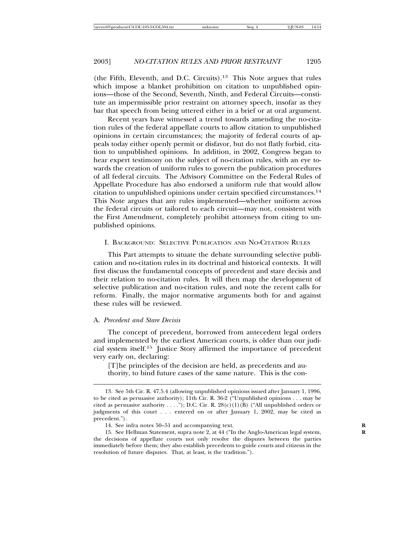(the Fifth, Eleventh, and D.C. Circuits).13 This Note argues that rules which impose a blanket prohibition on citation to unpublished opinions—those of the Second, Seventh, Ninth, and Federal Circuits—constitute an impermissible prior restraint on attorney speech, insofar as they bar that speech from being uttered either in a brief or at oral argument.

Recent years have witnessed a trend towards amending the no-citation rules of the federal appellate courts to allow citation to unpublished opinions in certain circumstances; the majority of federal courts of appeals today either openly permit or disfavor, but do not flatly forbid, citation to unpublished opinions. In addition, in 2002, Congress began to hear expert testimony on the subject of no-citation rules, with an eye towards the creation of uniform rules to govern the publication procedures of all federal circuits. The Advisory Committee on the Federal Rules of Appellate Procedure has also endorsed a uniform rule that would allow citation to unpublished opinions under certain specified circumstances.<sup>14</sup> This Note argues that any rules implemented—whether uniform across the federal circuits or tailored to each circuit—may not, consistent with the First Amendment, completely prohibit attorneys from citing to unpublished opinions.

## I. BACKGROUND: SELECTIVE PUBLICATION AND NO-CITATION RULES

This Part attempts to situate the debate surrounding selective publication and no-citation rules in its doctrinal and historical contexts. It will first discuss the fundamental concepts of precedent and stare decisis and their relation to no-citation rules. It will then map the development of selective publication and no-citation rules, and note the recent calls for reform. Finally, the major normative arguments both for and against these rules will be reviewed.

## A. *Precedent and Stare Decisis*

The concept of precedent, borrowed from antecedent legal orders and implemented by the earliest American courts, is older than our judicial system itself.15 Justice Story affirmed the importance of precedent very early on, declaring:

[T]he principles of the decision are held, as precedents and authority, to bind future cases of the same nature. This is the con-

<sup>13.</sup> See 5th Cir. R. 47.5.4 (allowing unpublished opinions issued after January 1, 1996, to be cited as persuasive authority); 11th Cir. R. 36-2 ("Unpublished opinions . . . may be cited as persuasive authority . . . ."); D.C. Cir. R.  $28(c)(1)(B)$  ("All unpublished orders or judgments of this court . . . entered on or after January 1, 2002, may be cited as precedent.").

<sup>14.</sup> See infra notes 50–51 and accompanying text.<br>15. See Hellman Statement, supra note 2, at 44 ("In the Anglo-American legal system **R** 15. See Hellman Statement, supra note 2, at 44 ("In the Anglo-American legal system, **R** the decisions of appellate courts not only resolve the disputes between the parties immediately before them; they also establish precedents to guide courts and citizens in the resolution of future disputes. That, at least, is the tradition.").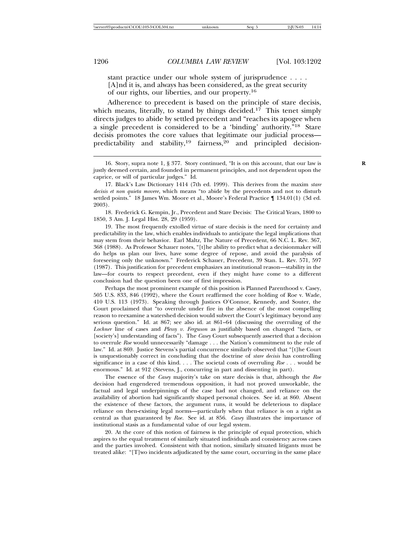stant practice under our whole system of jurisprudence . . . . [A]nd it is, and always has been considered, as the great security of our rights, our liberties, and our property.<sup>16</sup>

Adherence to precedent is based on the principle of stare decisis, which means, literally, to stand by things decided.<sup>17</sup> This tenet simply directs judges to abide by settled precedent and "reaches its apogee when a single precedent is considered to be a 'binding' authority."18 Stare decisis promotes the core values that legitimate our judicial process predictability and stability,<sup>19</sup> fairness,<sup>20</sup> and principled decision-

18. Frederick G. Kempin, Jr., Precedent and Stare Decisis: The Critical Years, 1800 to 1850, 3 Am. J. Legal Hist. 28, 29 (1959).

19. The most frequently extolled virtue of stare decisis is the need for certainty and predictability in the law, which enables individuals to anticipate the legal implications that may stem from their behavior. Earl Maltz, The Nature of Precedent, 66 N.C. L. Rev. 367, 368 (1988). As Professor Schauer notes, "[t]he ability to predict what a decisionmaker will do helps us plan our lives, have some degree of repose, and avoid the paralysis of foreseeing only the unknown." Frederick Schauer, Precedent, 39 Stan. L. Rev. 571, 597 (1987). This justification for precedent emphasizes an institutional reason—stability in the law—for courts to respect precedent, even if they might have come to a different conclusion had the question been one of first impression.

Perhaps the most prominent example of this position is Planned Parenthood v. Casey, 505 U.S. 833, 846 (1992), where the Court reaffirmed the core holding of Roe v. Wade, 410 U.S. 113 (1973). Speaking through Justices O'Connor, Kennedy, and Souter, the Court proclaimed that "to overrule under fire in the absence of the most compelling reason to reexamine a watershed decision would subvert the Court's legitimacy beyond any serious question." Id. at 867; see also id. at 861–64 (discussing the overruling of the *Lochner* line of cases and *Plessy v. Ferguson* as justifiably based on changed "facts, or [society's] understanding of facts"). The *Casey* Court subsequently asserted that a decision to overrule *Roe* would unnecessarily "damage . . . the Nation's commitment to the rule of law." Id. at 869. Justice Stevens's partial concurrence similarly observed that "[t]he Court is unquestionably correct in concluding that the doctrine of *stare decisis* has controlling significance in a case of this kind. . . . The societal costs of overruling *Roe . . .* would be enormous." Id. at 912 (Stevens, J., concurring in part and dissenting in part).

The essence of the *Casey* majority's take on stare decisis is that, although the *Roe* decision had engendered tremendous opposition, it had not proved unworkable, the factual and legal underpinnings of the case had not changed, and reliance on the availability of abortion had significantly shaped personal choices. See id. at 860. Absent the existence of these factors, the argument runs, it would be deleterious to displace reliance on then-existing legal norms—particularly when that reliance is on a right as central as that guaranteed by *Roe*. See id. at 856. *Casey* illustrates the importance of institutional stasis as a fundamental value of our legal system.

20. At the core of this notion of fairness is the principle of equal protection, which aspires to the equal treatment of similarly situated individuals and consistency across cases and the parties involved. Consistent with that notion, similarly situated litigants must be treated alike: "[T]wo incidents adjudicated by the same court, occurring in the same place

<sup>16.</sup> Story, supra note 1, § 377. Story continued, "It is on this account, that our law is **R** justly deemed certain, and founded in permanent principles, and not dependent upon the caprice, or will of particular judges." Id.

<sup>17.</sup> Black's Law Dictionary 1414 (7th ed. 1999). This derives from the maxim *stare decisis et non quieta movere*, which means "to abide by the precedents and not to disturb settled points." 18 James Wm. Moore et al., Moore's Federal Practice ¶ 134.01(1) (3d ed. 2003).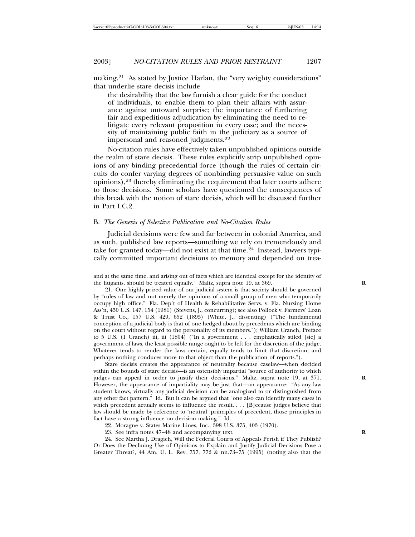making.21 As stated by Justice Harlan, the "very weighty considerations" that underlie stare decisis include

the desirability that the law furnish a clear guide for the conduct of individuals, to enable them to plan their affairs with assurance against untoward surprise; the importance of furthering fair and expeditious adjudication by eliminating the need to relitigate every relevant proposition in every case; and the necessity of maintaining public faith in the judiciary as a source of impersonal and reasoned judgments.<sup>22</sup>

No-citation rules have effectively taken unpublished opinions outside the realm of stare decisis. These rules explicitly strip unpublished opinions of any binding precedential force (though the rules of certain circuits do confer varying degrees of nonbinding persuasive value on such opinions),23 thereby eliminating the requirement that later courts adhere to those decisions. Some scholars have questioned the consequences of this break with the notion of stare decisis, which will be discussed further in Part I.C.2.

#### B. *The Genesis of Selective Publication and No-Citation Rules*

Judicial decisions were few and far between in colonial America, and as such, published law reports—something we rely on tremendously and take for granted today—did not exist at that time.<sup>24</sup> Instead, lawyers typically committed important decisions to memory and depended on trea-

and at the same time, and arising out of facts which are identical except for the identity of the litigants, should be treated equally." Maltz, supra note 19, at 369. **R**

21. One highly prized value of our judicial system is that society should be governed by "rules of law and not merely the opinions of a small group of men who temporarily occupy high office." Fla. Dep't of Health & Rehabilitative Servs. v. Fla. Nursing Home Ass'n, 450 U.S. 147, 154 (1981) (Stevens, J., concurring); see also Pollock v. Farmers' Loan & Trust Co., 157 U.S. 429, 652 (1895) (White, J., dissenting) ("The fundamental conception of a judicial body is that of one hedged about by precedents which are binding on the court without regard to the personality of its members."); William Cranch, Preface to 5 U.S. (1 Cranch) iii, iii (1804) ("In a government . . . emphatically stiled [sic] a government of laws, the least possible range ought to be left for the discretion of the judge. Whatever tends to render the laws certain, equally tends to limit that discretion; and perhaps nothing conduces more to that object than the publication of reports.").

Stare decisis creates the appearance of neutrality because caselaw—when decided within the bounds of stare decisis—is an ostensibly impartial "source of authority to which judges can appeal in order to justify their decisions." Maltz, supra note 19, at 371. **R** However, the appearance of impartiality may be just that—an appearance: "As any law student knows, virtually any judicial decision can be analogized to or distinguished from any other fact pattern." Id. But it can be argued that "one also can identify many cases in which precedent actually seems to influence the result. . . . [B]ecause judges believe that law should be made by reference to 'neutral' principles of precedent, those principles in fact have a strong influence on decision making." Id.

22. Moragne v. States Marine Lines, Inc., 398 U.S. 375, 403 (1970).

24. See Martha J. Dragich, Will the Federal Courts of Appeals Perish if They Publish? Or Does the Declining Use of Opinions to Explain and Justify Judicial Decisions Pose a Greater Threat?, 44 Am. U. L. Rev. 757, 772 & nn.73–75 (1995) (noting also that the

<sup>23.</sup> See infra notes 47–48 and accompanying text. **R**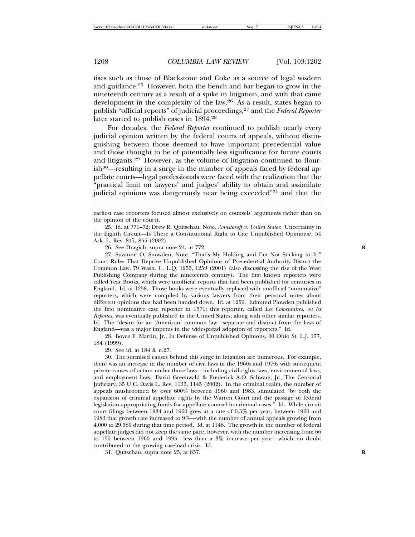tises such as those of Blackstone and Coke as a source of legal wisdom and guidance.25 However, both the bench and bar began to grow in the nineteenth century as a result of a spike in litigation, and with that came development in the complexity of the law.26 As a result, states began to publish "official reports" of judicial proceedings,27 and the *Federal Reporter* later started to publish cases in 1894.<sup>28</sup>

For decades, the *Federal Reporter* continued to publish nearly every judicial opinion written by the federal courts of appeals, without distinguishing between those deemed to have important precedential value and those thought to be of potentially less significance for future courts and litigants.29 However, as the volume of litigation continued to flourish30—resulting in a surge in the number of appeals faced by federal appellate courts—legal professionals were faced with the realization that the "practical limit on lawyers' and judges' ability to obtain and assimilate judicial opinions was dangerously near being exceeded"31 and that the

26. See Dragich, supra note 24, at 772. **R**

27. Suzanne O. Snowden, Note, "That's My Holding and I'm Not Sticking to It!" Court Rules That Deprive Unpublished Opinions of Precedential Authority Distort the Common Law, 79 Wash. U. L.Q. 1253, 1259 (2001) (also discussing the rise of the West Publishing Company during the nineteenth century). The first known reporters were called Year Books, which were unofficial reports that had been published for centuries in England. Id. at 1258. Those books were eventually replaced with unofficial "nominative" reporters, which were compiled by various lawyers from their personal notes about different opinions that had been handed down. Id. at 1259. Edmund Plowden published the first nominative case reporter in 1571; this reporter, called *Les Comentaires, ou les Reportes*, was eventually published in the United States, along with other similar reporters. Id. The "desire for an 'American' common law—separate and distinct from the laws of England—was a major impetus in the widespread adoption of reporters." Id.

28. Boyce F. Martin, Jr., In Defense of Unpublished Opinions, 60 Ohio St. L.J. 177, 184 (1999).

29. See id. at 184 & n.27.

30. The surmised causes behind this surge in litigation are numerous. For example, there was an increase in the number of civil laws in the 1960s and 1970s with subsequent private causes of action under those laws—including civil rights laws, environmental laws, and employment laws. David Greenwald & Frederick A.O. Schwarz, Jr., The Censorial Judiciary, 35 U.C. Davis L. Rev. 1133, 1145 (2002). In the criminal realm, the number of appeals mushroomed by over 600% between 1960 and 1983, stimulated "by both the expansion of criminal appellate rights by the Warren Court and the passage of federal legislation appropriating funds for appellate counsel in criminal cases." Id. While circuit court filings between 1934 and 1960 grew at a rate of 0.5% per year, between 1960 and 1983 that growth rate increased to 9%—with the number of annual appeals growing from 4,000 to 29,580 during that time period. Id. at 1146. The growth in the number of federal appellate judges did not keep the same pace, however, with the number increasing from 66 to 150 between 1960 and 1995—less than a 3% increase per year—which no doubt contributed to the growing caseload crisis. Id.

31. Quitschau, supra note 25, at 857. **R**

earliest case reporters focused almost exclusively on counsels' arguments rather than on the opinion of the court).

<sup>25.</sup> Id. at 771–72; Drew R. Quitschau, Note, *Anastasoff v. United States*: Uncertainty in the Eighth Circuit—Is There a Constitutional Right to Cite Unpublished Opinions?, 54 Ark. L. Rev. 847, 855 (2002).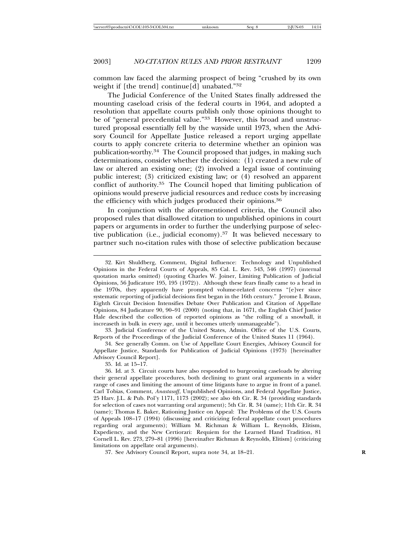common law faced the alarming prospect of being "crushed by its own weight if [the trend] continue[d] unabated."32

The Judicial Conference of the United States finally addressed the mounting caseload crisis of the federal courts in 1964, and adopted a resolution that appellate courts publish only those opinions thought to be of "general precedential value."33 However, this broad and unstructured proposal essentially fell by the wayside until 1973, when the Advisory Council for Appellate Justice released a report urging appellate courts to apply concrete criteria to determine whether an opinion was publication-worthy.34 The Council proposed that judges, in making such determinations, consider whether the decision: (1) created a new rule of law or altered an existing one; (2) involved a legal issue of continuing public interest; (3) criticized existing law; or (4) resolved an apparent conflict of authority.35 The Council hoped that limiting publication of opinions would preserve judicial resources and reduce costs by increasing the efficiency with which judges produced their opinions.<sup>36</sup>

In conjunction with the aforementioned criteria, the Council also proposed rules that disallowed citation to unpublished opinions in court papers or arguments in order to further the underlying purpose of selective publication (i.e., judicial economy).<sup>37</sup> It was believed necessary to partner such no-citation rules with those of selective publication because

33. Judicial Conference of the United States, Admin. Office of the U.S. Courts, Reports of the Proceedings of the Judicial Conference of the United States 11 (1964).

34. See generally Comm. on Use of Appellate Court Energies, Advisory Council for Appellate Justice, Standards for Publication of Judicial Opinions (1973) [hereinafter Advisory Council Report].

35. Id. at 15–17.

<sup>32.</sup> Kirt Shuldberg, Comment, Digital Influence: Technology and Unpublished Opinions in the Federal Courts of Appeals, 85 Cal. L. Rev. 543, 546 (1997) (internal quotation marks omitted) (quoting Charles W. Joiner, Limiting Publication of Judicial Opinions, 56 Judicature 195, 195 (1972)). Although these fears finally came to a head in the 1970s, they apparently have prompted volume-related concerns "[e]ver since systematic reporting of judicial decisions first began in the 16th century." Jerome I. Braun, Eighth Circuit Decision Intensifies Debate Over Publication and Citation of Appellate Opinions, 84 Judicature 90, 90–91 (2000) (noting that, in 1671, the English Chief Justice Hale described the collection of reported opinions as "the rolling of a snowball, it increaseth in bulk in every age, until it becomes utterly unmanageable").

<sup>36.</sup> Id. at 3. Circuit courts have also responded to burgeoning caseloads by altering their general appellate procedures, both declining to grant oral arguments in a wider range of cases and limiting the amount of time litigants have to argue in front of a panel. Carl Tobias, Comment, *Anastasoff*, Unpublished Opinions, and Federal Appellate Justice, 25 Harv. J.L. & Pub. Pol'y 1171, 1173 (2002); see also 4th Cir. R. 34 (providing standards for selection of cases not warranting oral argument); 5th Cir. R. 34 (same); 11th Cir. R. 34 (same); Thomas E. Baker, Rationing Justice on Appeal: The Problems of the U.S. Courts of Appeals 108–17 (1994) (discussing and criticizing federal appellate court procedures regarding oral arguments); William M. Richman & William L. Reynolds, Elitism, Expediency, and the New Certiorari: Requiem for the Learned Hand Tradition, 81 Cornell L. Rev. 273, 279–81 (1996) [hereinafter Richman & Reynolds, Elitism] (criticizing limitations on appellate oral arguments).

<sup>37.</sup> See Advisory Council Report, supra note 34, at 18–21. **R**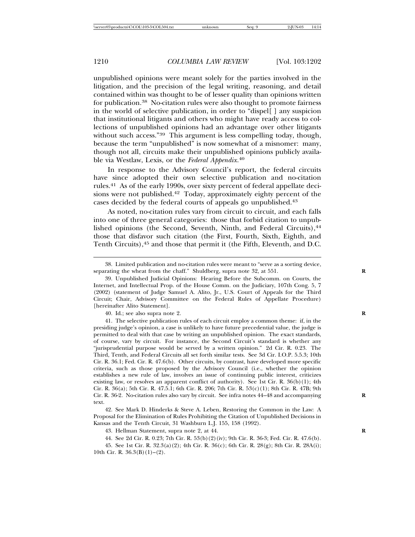unpublished opinions were meant solely for the parties involved in the litigation, and the precision of the legal writing, reasoning, and detail contained within was thought to be of lesser quality than opinions written for publication.38 No-citation rules were also thought to promote fairness in the world of selective publication, in order to "dispel[ ] any suspicion that institutional litigants and others who might have ready access to collections of unpublished opinions had an advantage over other litigants without such access."<sup>39</sup> This argument is less compelling today, though, because the term "unpublished" is now somewhat of a misnomer: many, though not all, circuits make their unpublished opinions publicly available via Westlaw, Lexis, or the *Federal Appendix*. 40

In response to the Advisory Council's report, the federal circuits have since adopted their own selective publication and no-citation rules.41 As of the early 1990s, over sixty percent of federal appellate decisions were not published.42 Today, approximately eighty percent of the cases decided by the federal courts of appeals go unpublished.<sup>43</sup>

As noted, no-citation rules vary from circuit to circuit, and each falls into one of three general categories: those that forbid citation to unpublished opinions (the Second, Seventh, Ninth, and Federal Circuits),<sup>44</sup> those that disfavor such citation (the First, Fourth, Sixth, Eighth, and Tenth Circuits), <sup>45</sup> and those that permit it (the Fifth, Eleventh, and D.C.

40. Id.; see also supra note 2. **R**

41. The selective publication rules of each circuit employ a common theme: if, in the presiding judge's opinion, a case is unlikely to have future precedential value, the judge is permitted to deal with that case by writing an unpublished opinion. The exact standards, of course, vary by circuit. For instance, the Second Circuit's standard is whether any "jurisprudential purpose would be served by a written opinion." 2d Cir. R. 0.23. The Third, Tenth, and Federal Circuits all set forth similar tests. See 3d Cir. I.O.P. 5.5.3; 10th Cir. R. 36.1; Fed. Cir. R. 47.6(b). Other circuits, by contrast, have developed more specific criteria, such as those proposed by the Advisory Council (i.e., whether the opinion establishes a new rule of law, involves an issue of continuing public interest, criticizes existing law, or resolves an apparent conflict of authority). See 1st Cir. R.  $36(b)(1)$ ; 4th Cir. R. 36(a); 5th Cir. R. 47.5.1; 6th Cir. R. 206; 7th Cir. R. 53(c)(1); 8th Cir. R. 47B; 9th Cir. R. 36-2. No-citation rules also vary by circuit. See infra notes 44–48 and accompanying **R** text.

42. See Mark D. Hinderks & Steve A. Leben, Restoring the Common in the Law: A Proposal for the Elimination of Rules Prohibiting the Citation of Unpublished Decisions in Kansas and the Tenth Circuit, 31 Washburn L.J. 155, 158 (1992).

43. Hellman Statement, supra note 2, at 44. **R**

44. See 2d Cir. R. 0.23; 7th Cir. R. 53(b)(2)(iv); 9th Cir. R. 36-3; Fed. Cir. R. 47.6(b).

<sup>38.</sup> Limited publication and no-citation rules were meant to "serve as a sorting device, separating the wheat from the chaff." Shuldberg, supra note 32, at 551. **R**

<sup>39.</sup> Unpublished Judicial Opinions: Hearing Before the Subcomm. on Courts, the Internet, and Intellectual Prop. of the House Comm. on the Judiciary, 107th Cong. 5, 7 (2002) (statement of Judge Samuel A. Alito, Jr., U.S. Court of Appeals for the Third Circuit; Chair, Advisory Committee on the Federal Rules of Appellate Procedure) [hereinafter Alito Statement].

<sup>45.</sup> See 1st Cir. R. 32.3(a)(2); 4th Cir. R. 36(c); 6th Cir. R. 28(g); 8th Cir. R. 28A(i); 10th Cir. R.  $36.3(B)(1)-(2)$ .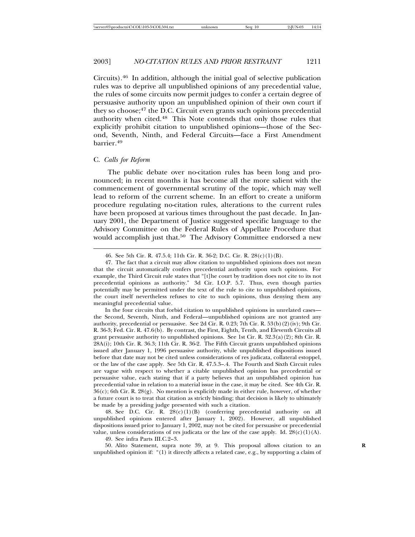Circuits).46 In addition, although the initial goal of selective publication rules was to deprive all unpublished opinions of any precedential value, the rules of some circuits now permit judges to confer a certain degree of persuasive authority upon an unpublished opinion of their own court if they so choose;<sup>47</sup> the D.C. Circuit even grants such opinions precedential authority when cited.48 This Note contends that only those rules that explicitly prohibit citation to unpublished opinions—those of the Second, Seventh, Ninth, and Federal Circuits—face a First Amendment barrier.49

## C. *Calls for Reform*

The public debate over no-citation rules has been long and pronounced; in recent months it has become all the more salient with the commencement of governmental scrutiny of the topic, which may well lead to reform of the current scheme. In an effort to create a uniform procedure regulating no-citation rules, alterations to the current rules have been proposed at various times throughout the past decade. In January 2001, the Department of Justice suggested specific language to the Advisory Committee on the Federal Rules of Appellate Procedure that would accomplish just that.<sup>50</sup> The Advisory Committee endorsed a new

48. See D.C. Cir. R.  $28(c)(1)(B)$  (conferring precedential authority on all unpublished opinions entered after January 1, 2002). However, all unpublished dispositions issued prior to January 1, 2002, may not be cited for persuasive or precedential value, unless considerations of res judicata or the law of the case apply. Id.  $28(c)(1)(A)$ .

49. See infra Parts III.C.2–3.

50. Alito Statement, supra note 39, at 9. This proposal allows citation to an **R** unpublished opinion if: "(1) it directly affects a related case, e.g., by supporting a claim of

<sup>46.</sup> See 5th Cir. R. 47.5.4; 11th Cir. R. 36-2; D.C. Cir. R. 28(c)(1)(B).

<sup>47.</sup> The fact that a circuit may allow citation to unpublished opinions does not mean that the circuit automatically confers precedential authority upon such opinions. For example, the Third Circuit rule states that "[t]he court by tradition does not cite to its not precedential opinions as authority." 3d Cir. I.O.P. 5.7. Thus, even though parties potentially may be permitted under the text of the rule to cite to unpublished opinions, the court itself nevertheless refuses to cite to such opinions, thus denying them any meaningful precedential value.

In the four circuits that forbid citation to unpublished opinions in unrelated cases the Second, Seventh, Ninth, and Federal—unpublished opinions are not granted any authority, precedential or persuasive. See 2d Cir. R. 0.23; 7th Cir. R. 53(b)(2)(iv); 9th Cir. R. 36-3; Fed. Cir. R. 47.6(b). By contrast, the First, Eighth, Tenth, and Eleventh Circuits all grant persuasive authority to unpublished opinions. See 1st Cir. R. 32.3(a)(2); 8th Cir. R. 28A(i); 10th Cir. R. 36.3; 11th Cir. R. 36-2. The Fifth Circuit grants unpublished opinions issued after January 1, 1996 persuasive authority, while unpublished dispositions issued before that date may not be cited unless considerations of res judicata, collateral estoppel, or the law of the case apply. See 5th Cir. R. 47.5.3–.4. The Fourth and Sixth Circuit rules are vague with respect to whether a citable unpublished opinion has precedential or persuasive value, each stating that if a party believes that an unpublished opinion has precedential value in relation to a material issue in the case, it may be cited. See 4th Cir. R.  $36(c)$ ; 6th Cir. R.  $28(g)$ . No mention is explicitly made in either rule, however, of whether a future court is to treat that citation as strictly binding; that decision is likely to ultimately be made by a presiding judge presented with such a citation.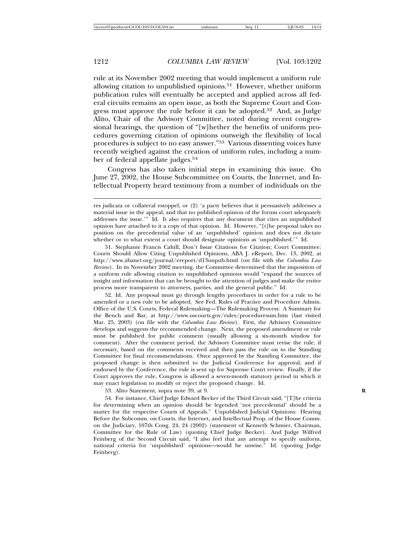rule at its November 2002 meeting that would implement a uniform rule allowing citation to unpublished opinions.51 However, whether uniform publication rules will eventually be accepted and applied across all federal circuits remains an open issue, as both the Supreme Court and Congress must approve the rule before it can be adopted.52 And, as Judge Alito, Chair of the Advisory Committee, noted during recent congressional hearings, the question of "[w]hether the benefits of uniform procedures governing citation of opinions outweigh the flexibility of local procedures is subject to no easy answer."53 Various dissenting voices have recently weighed against the creation of uniform rules, including a number of federal appellate judges.<sup>54</sup>

Congress has also taken initial steps in examining this issue. On June 27, 2002, the House Subcommittee on Courts, the Internet, and Intellectual Property heard testimony from a number of individuals on the

52. Id. Any proposal must go through lengthy procedures in order for a rule to be amended or a new rule to be adopted. See Fed. Rules of Practice and Procedure Admin. Office of the U.S. Courts, Federal Rulemaking—The Rulemaking Process: A Summary for the Bench and Bar, at http://www.uscourts.gov/rules/proceduresum.htm (last visited Mar. 25, 2003) (on file with the *Columbia Law Review*). First, the Advisory Committee develops and suggests the recommended change. Next, the proposed amendment or rule must be published for public comment (usually allowing a six-month window for comment). After the comment period, the Advisory Committee must revise the rule, if necessary, based on the comments received and then pass the rule on to the Standing Committee for final recommendations. Once approved by the Standing Committee, the proposed change is then submitted to the Judicial Conference for approval, and if endorsed by the Conference, the rule is sent up for Supreme Court review. Finally, if the Court approves the rule, Congress is allowed a seven-month statutory period in which it may enact legislation to modify or reject the proposed change. Id.

53. Alito Statement, supra note 39, at 9. **R**

54. For instance, Chief Judge Edward Becker of the Third Circuit said, "[T]he criteria for determining when an opinion should be legended 'not precedential' should be a matter for the respective Courts of Appeals." Unpublished Judicial Opinions: Hearing Before the Subcomm. on Courts, the Internet, and Intellectual Prop. of the House Comm. on the Judiciary, 107th Cong. 24, 24 (2002) (statement of Kenneth Schmier, Chairman, Committee for the Rule of Law) (quoting Chief Judge Becker). And Judge Wilfred Feinberg of the Second Circuit said, "I also feel that any attempt to specify uniform, national criteria for 'unpublished' opinions—would be unwise." Id. (quoting Judge Feinberg).

res judicata or collateral estoppel, or (2) 'a party believes that it persuasively addresses a material issue in the appeal, and that no published opinion of the forum court adequately addresses the issue.'" Id. It also requires that any document that cites an unpublished opinion have attached to it a copy of that opinion. Id. However, "[t]he proposal takes no position on the precedential value of an 'unpublished' opinion and does not dictate whether or to what extent a court should designate opinions as 'unpublished.'" Id.

<sup>51.</sup> Stephanie Francis Cahill, Don't Issue Citations for Citation; Court Committee: Courts Should Allow Citing Unpublished Opinions, ABA J. eReport, Dec. 13, 2002, at http://www.abanet.org/journal/ereport/d13unpub.html (on file with the *Columbia Law Review*). In its November 2002 meeting, the Committee determined that the imposition of a uniform rule allowing citation to unpublished opinions would "expand the sources of insight and information that can be brought to the attention of judges and make the entire process more transparent to attorneys, parties, and the general public." Id.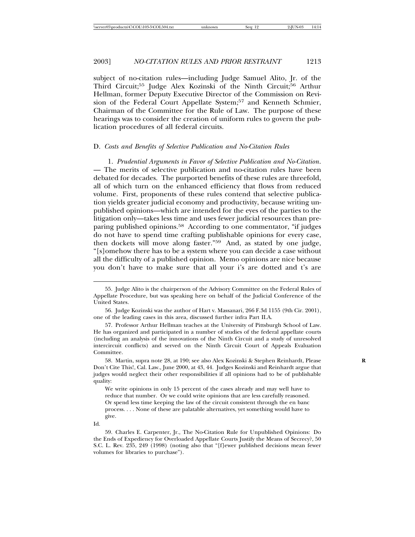subject of no-citation rules—including Judge Samuel Alito, Jr. of the Third Circuit;55 Judge Alex Kozinski of the Ninth Circuit;56 Arthur Hellman, former Deputy Executive Director of the Commission on Revision of the Federal Court Appellate System;<sup>57</sup> and Kenneth Schmier, Chairman of the Committee for the Rule of Law. The purpose of these hearings was to consider the creation of uniform rules to govern the publication procedures of all federal circuits.

#### D. *Costs and Benefits of Selective Publication and No-Citation Rules*

1. *Prudential Arguments in Favor of Selective Publication and No-Citation*. — The merits of selective publication and no-citation rules have been debated for decades. The purported benefits of these rules are threefold, all of which turn on the enhanced efficiency that flows from reduced volume. First, proponents of these rules contend that selective publication yields greater judicial economy and productivity, because writing unpublished opinions—which are intended for the eyes of the parties to the litigation only—takes less time and uses fewer judicial resources than preparing published opinions.58 According to one commentator, "if judges do not have to spend time crafting publishable opinions for every case, then dockets will move along faster."59 And, as stated by one judge, "[s]omehow there has to be a system where you can decide a case without all the difficulty of a published opinion. Memo opinions are nice because you don't have to make sure that all your i's are dotted and t's are

<sup>55.</sup> Judge Alito is the chairperson of the Advisory Committee on the Federal Rules of Appellate Procedure, but was speaking here on behalf of the Judicial Conference of the United States.

<sup>56.</sup> Judge Kozinski was the author of Hart v. Massanari, 266 F.3d 1155 (9th Cir. 2001), one of the leading cases in this area, discussed further infra Part II.A.

<sup>57.</sup> Professor Arthur Hellman teaches at the University of Pittsburgh School of Law. He has organized and participated in a number of studies of the federal appellate courts (including an analysis of the innovations of the Ninth Circuit and a study of unresolved intercircuit conflicts) and served on the Ninth Circuit Court of Appeals Evaluation Committee.

<sup>58.</sup> Martin, supra note 28, at 190; see also Alex Kozinski & Stephen Reinhardt, Please **R** Don't Cite This!, Cal. Law., June 2000, at 43, 44. Judges Kozinski and Reinhardt argue that judges would neglect their other responsibilities if all opinions had to be of publishable quality:

We write opinions in only 15 percent of the cases already and may well have to reduce that number. Or we could write opinions that are less carefully reasoned. Or spend less time keeping the law of the circuit consistent through the en banc process. . . . None of these are palatable alternatives, yet something would have to give.

Id.

<sup>59.</sup> Charles E. Carpenter, Jr., The No-Citation Rule for Unpublished Opinions: Do the Ends of Expediency for Overloaded Appellate Courts Justify the Means of Secrecy?, 50 S.C. L. Rev. 235, 249 (1998) (noting also that "[f]ewer published decisions mean fewer volumes for libraries to purchase").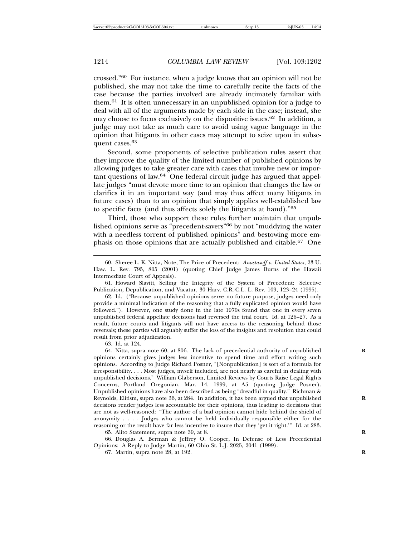crossed."60 For instance, when a judge knows that an opinion will not be published, she may not take the time to carefully recite the facts of the case because the parties involved are already intimately familiar with them.61 It is often unnecessary in an unpublished opinion for a judge to deal with all of the arguments made by each side in the case; instead, she may choose to focus exclusively on the dispositive issues.62 In addition, a judge may not take as much care to avoid using vague language in the opinion that litigants in other cases may attempt to seize upon in subsequent cases.<sup>63</sup>

Second, some proponents of selective publication rules assert that they improve the quality of the limited number of published opinions by allowing judges to take greater care with cases that involve new or important questions of law.<sup>64</sup> One federal circuit judge has argued that appellate judges "must devote more time to an opinion that changes the law or clarifies it in an important way (and may thus affect many litigants in future cases) than to an opinion that simply applies well-established law to specific facts (and thus affects solely the litigants at hand)."<sup>65</sup>

Third, those who support these rules further maintain that unpublished opinions serve as "precedent-savers"66 by not "muddying the water with a needless torrent of published opinions" and bestowing more emphasis on those opinions that are actually published and citable.67 One

63. Id. at 124.

64. Nitta, supra note 60, at 806. The lack of precedential authority of unpublished **R** opinions certainly gives judges less incentive to spend time and effort writing such opinions. According to Judge Richard Posner, "[Nonpublication] is sort of a formula for irresponsibility. . . . Most judges, myself included, are not nearly as careful in dealing with unpublished decisions." William Glaberson, Limited Reviews by Courts Raise Legal Rights Concerns, Portland Oregonian, Mar. 14, 1999, at A5 (quoting Judge Posner). Unpublished opinions have also been described as being "dreadful in quality." Richman & Reynolds, Elitism, supra note 36, at 284. In addition, it has been argued that unpublished **R** decisions render judges less accountable for their opinions, thus leading to decisions that are not as well-reasoned: "The author of a bad opinion cannot hide behind the shield of anonymity . . . . Judges who cannot be held individually responsible either for the reasoning or the result have far less incentive to insure that they 'get it right.'" Id. at 283.

65. Alito Statement, supra note 39, at 8. **R**

66. Douglas A. Berman & Jeffrey O. Cooper, In Defense of Less Precedential Opinions: A Reply to Judge Martin, 60 Ohio St. L.J. 2025, 2041 (1999).

67. Martin, supra note 28, at 192. **R**

<sup>60.</sup> Sheree L. K. Nitta, Note, The Price of Precedent: *Anastasoff v. United States*, 23 U. Haw. L. Rev. 795, 805 (2001) (quoting Chief Judge James Burns of the Hawaii Intermediate Court of Appeals).

<sup>61.</sup> Howard Slavitt, Selling the Integrity of the System of Precedent: Selective Publication, Depublication, and Vacatur, 30 Harv. C.R.-C.L. L. Rev. 109, 123–24 (1995).

<sup>62.</sup> Id. ("Because unpublished opinions serve no future purpose, judges need only provide a minimal indication of the reasoning that a fully explicated opinion would have followed."). However, one study done in the late 1970s found that one in every seven unpublished federal appellate decisions had reversed the trial court. Id. at 126–27. As a result, future courts and litigants will not have access to the reasoning behind those reversals; these parties will arguably suffer the loss of the insights and resolution that could result from prior adjudication.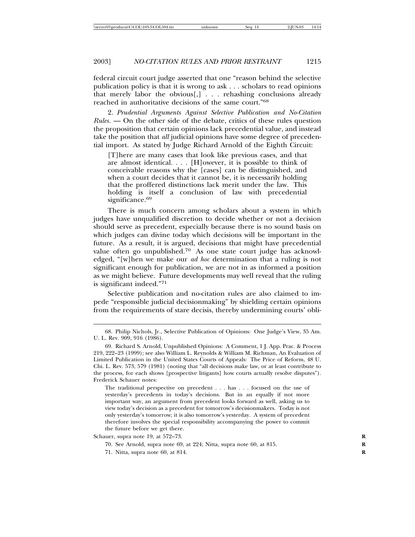federal circuit court judge asserted that one "reason behind the selective publication policy is that it is wrong to ask . . . scholars to read opinions that merely labor the obvious[,] . . . rehashing conclusions already reached in authoritative decisions of the same court."<sup>68</sup>

2. *Prudential Arguments Against Selective Publication and No-Citation Rules*. — On the other side of the debate, critics of these rules question the proposition that certain opinions lack precedential value, and instead take the position that *all* judicial opinions have some degree of precedential import. As stated by Judge Richard Arnold of the Eighth Circuit:

[T]here are many cases that look like previous cases, and that are almost identical. . . . [H]owever, it is possible to think of conceivable reasons why the [cases] can be distinguished, and when a court decides that it cannot be, it is necessarily holding that the proffered distinctions lack merit under the law. This holding is itself a conclusion of law with precedential significance.<sup>69</sup>

There is much concern among scholars about a system in which judges have unqualified discretion to decide whether or not a decision should serve as precedent, especially because there is no sound basis on which judges can divine today which decisions will be important in the future. As a result, it is argued, decisions that might have precedential value often go unpublished.70 As one state court judge has acknowledged, "[w]hen we make our *ad hoc* determination that a ruling is not significant enough for publication, we are not in as informed a position as we might believe. Future developments may well reveal that the ruling is significant indeed."<sup>71</sup>

Selective publication and no-citation rules are also claimed to impede "responsible judicial decisionmaking" by shielding certain opinions from the requirements of stare decisis, thereby undermining courts' obli-

Schauer, supra note 19, at 572–73. **R**

70. See Arnold, supra note 69, at 224; Nitta, supra note 60, at 815. **R**

<sup>68.</sup> Philip Nichols, Jr., Selective Publication of Opinions: One Judge's View, 35 Am. U. L. Rev. 909, 916 (1986).

<sup>69.</sup> Richard S. Arnold, Unpublished Opinions: A Comment, 1 J. App. Prac. & Process 219, 222–23 (1999); see also William L. Reynolds & William M. Richman, An Evaluation of Limited Publication in the United States Courts of Appeals: The Price of Reform, 48 U. Chi. L. Rev. 573, 579 (1981) (noting that "all decisions make law, or at least contribute to the process, for each shows [prospective litigants] how courts actually resolve disputes"). Frederick Schauer notes:

The traditional perspective on precedent . . . has . . . focused on the use of yesterday's precedents in today's decisions. But in an equally if not more important way, an argument from precedent looks forward as well, asking us to view today's decision as a precedent for tomorrow's decisionmakers. Today is not only yesterday's tomorrow; it is also tomorrow's yesterday. A system of precedent therefore involves the special responsibility accompanying the power to commit the future before we get there.

<sup>71.</sup> Nitta, supra note 60, at 814. **R**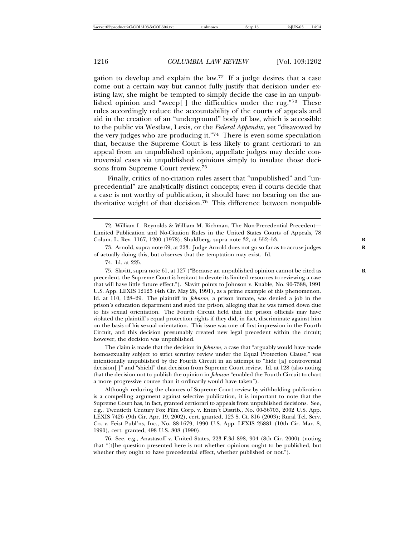gation to develop and explain the law.<sup>72</sup> If a judge desires that a case come out a certain way but cannot fully justify that decision under existing law, she might be tempted to simply decide the case in an unpublished opinion and "sweep[ ] the difficulties under the rug."73 These rules accordingly reduce the accountability of the courts of appeals and aid in the creation of an "underground" body of law, which is accessible to the public via Westlaw, Lexis, or the *Federal Appendix*, yet "disavowed by the very judges who are producing it."74 There is even some speculation that, because the Supreme Court is less likely to grant certiorari to an appeal from an unpublished opinion, appellate judges may decide controversial cases via unpublished opinions simply to insulate those decisions from Supreme Court review.<sup>75</sup>

Finally, critics of no-citation rules assert that "unpublished" and "unprecedential" are analytically distinct concepts; even if courts decide that a case is not worthy of publication, it should have no bearing on the authoritative weight of that decision.<sup>76</sup> This difference between nonpubli-

74. Id. at 225.

75. Slavitt, supra note 61, at 127 ("Because an unpublished opinion cannot be cited as **R** precedent, the Supreme Court is hesitant to devote its limited resources to reviewing a case that will have little future effect."). Slavitt points to Johnson v. Knable, No. 90-7388, 1991 U.S. App. LEXIS 12125 (4th Cir. May 28, 1991), as a prime example of this phenomenon. Id. at 110, 128–29. The plaintiff in *Johnson*, a prison inmate, was denied a job in the prison's education department and sued the prison, alleging that he was turned down due to his sexual orientation. The Fourth Circuit held that the prison officials may have violated the plaintiff's equal protection rights if they did, in fact, discriminate against him on the basis of his sexual orientation. This issue was one of first impression in the Fourth Circuit, and this decision presumably created new legal precedent within the circuit; however, the decision was unpublished.

The claim is made that the decision in *Johnson*, a case that "arguably would have made homosexuality subject to strict scrutiny review under the Equal Protection Clause," was intentionally unpublished by the Fourth Circuit in an attempt to "hide [a] controversial decision[ ]" and "shield" that decision from Supreme Court review. Id. at 128 (also noting that the decision not to publish the opinion in *Johnson* "enabled the Fourth Circuit to chart a more progressive course than it ordinarily would have taken").

Although reducing the chances of Supreme Court review by withholding publication is a compelling argument against selective publication, it is important to note that the Supreme Court has, in fact, granted certiorari to appeals from unpublished decisions. See, e.g., Twentieth Century Fox Film Corp. v. Entm't Distrib., No. 00-56703, 2002 U.S. App. LEXIS 7426 (9th Cir. Apr. 19, 2002), cert. granted, 123 S. Ct. 816 (2003); Rural Tel. Serv. Co. v. Feist Publ'ns, Inc., No. 88-1679, 1990 U.S. App. LEXIS 25881 (10th Cir. Mar. 8, 1990), cert. granted, 498 U.S. 808 (1990).

76. See, e.g., Anastasoff v. United States, 223 F.3d 898, 904 (8th Cir. 2000) (noting that "[t]he question presented here is not whether opinions ought to be published, but whether they ought to have precedential effect, whether published or not.").



<sup>72.</sup> William L. Reynolds & William M. Richman, The Non-Precedential Precedent-Limited Publication and No-Citation Rules in the United States Courts of Appeals, 78 Colum. L. Rev. 1167, 1200 (1978); Shuldberg, supra note 32, at 552–53. **R**

<sup>73.</sup> Arnold, supra note 69, at 223. Judge Arnold does not go so far as to accuse judges **R** of actually doing this, but observes that the temptation may exist. Id.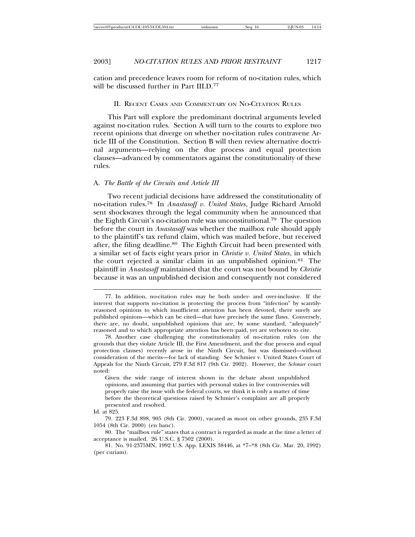cation and precedence leaves room for reform of no-citation rules, which will be discussed further in Part III.D.<sup>77</sup>

## II. RECENT CASES AND COMMENTARY ON NO-CITATION RULES

This Part will explore the predominant doctrinal arguments leveled against no-citation rules. Section A will turn to the courts to explore two recent opinions that diverge on whether no-citation rules contravene Article III of the Constitution. Section B will then review alternative doctrinal arguments—relying on the due process and equal protection clauses—advanced by commentators against the constitutionality of these rules.

## A. *The Battle of the Circuits and Article III*

Two recent judicial decisions have addressed the constitutionality of no-citation rules.78 In *Anastasoff v. United States*, Judge Richard Arnold sent shockwaves through the legal community when he announced that the Eighth Circuit's no-citation rule was unconstitutional.79 The question before the court in *Anastasoff* was whether the mailbox rule should apply to the plaintiff's tax refund claim, which was mailed before, but received after, the filing deadline.<sup>80</sup> The Eighth Circuit had been presented with a similar set of facts eight years prior in *Christie v. United States*, in which the court rejected a similar claim in an unpublished opinion.81 The plaintiff in *Anastasoff* maintained that the court was not bound by *Christie* because it was an unpublished decision and consequently not considered

<sup>77.</sup> In addition, no-citation rules may be both under- and over-inclusive. If the interest that supports no-citation is protecting the process from "infection" by scantilyreasoned opinions to which insufficient attention has been devoted, there surely are published opinions—which can be cited—that have precisely the same flaws. Conversely, there are, no doubt, unpublished opinions that are, by some standard, "adequately" reasoned and to which appropriate attention has been paid, yet are verboten to cite.

<sup>78.</sup> Another case challenging the constitutionality of no-citation rules (on the grounds that they violate Article III, the First Amendment, and the due process and equal protection clauses) recently arose in the Ninth Circuit, but was dismissed—without consideration of the merits—for lack of standing. See Schmier v. United States Court of Appeals for the Ninth Circuit, 279 F.3d 817 (9th Cir. 2002). However, the *Schmier* court noted:

Given the wide range of interest shown in the debate about unpublished opinions, and assuming that parties with personal stakes in live controversies will properly raise the issue with the federal courts, we think it is only a matter of time before the theoretical questions raised by Schmier's complaint are all properly presented and resolved.

Id. at 825.

<sup>79. 223</sup> F.3d 898, 905 (8th Cir. 2000), vacated as moot on other grounds, 235 F.3d 1054 (8th Cir. 2000) (en banc).

<sup>80.</sup> The "mailbox rule" states that a contract is regarded as made at the time a letter of acceptance is mailed. 26 U.S.C. § 7502 (2000).

<sup>81.</sup> No. 91-2375MN, 1992 U.S. App. LEXIS 38446, at \*7–\*8 (8th Cir. Mar. 20, 1992) (per curiam).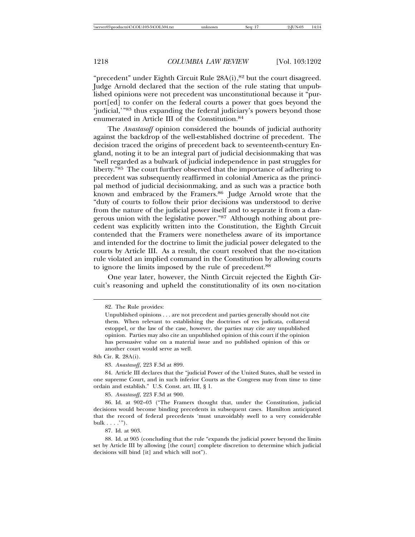"precedent" under Eighth Circuit Rule 28A(i), <sup>82</sup> but the court disagreed. Judge Arnold declared that the section of the rule stating that unpublished opinions were not precedent was unconstitutional because it "purport[ed] to confer on the federal courts a power that goes beyond the 'judicial,'"83 thus expanding the federal judiciary's powers beyond those enumerated in Article III of the Constitution.<sup>84</sup>

The *Anastasoff* opinion considered the bounds of judicial authority against the backdrop of the well-established doctrine of precedent. The decision traced the origins of precedent back to seventeenth-century England, noting it to be an integral part of judicial decisionmaking that was "well regarded as a bulwark of judicial independence in past struggles for liberty."85 The court further observed that the importance of adhering to precedent was subsequently reaffirmed in colonial America as the principal method of judicial decisionmaking, and as such was a practice both known and embraced by the Framers.<sup>86</sup> Judge Arnold wrote that the "duty of courts to follow their prior decisions was understood to derive from the nature of the judicial power itself and to separate it from a dangerous union with the legislative power."87 Although nothing about precedent was explicitly written into the Constitution, the Eighth Circuit contended that the Framers were nonetheless aware of its importance and intended for the doctrine to limit the judicial power delegated to the courts by Article III. As a result, the court resolved that the no-citation rule violated an implied command in the Constitution by allowing courts to ignore the limits imposed by the rule of precedent.<sup>88</sup>

One year later, however, the Ninth Circuit rejected the Eighth Circuit's reasoning and upheld the constitutionality of its own no-citation

8th Cir. R. 28A(i).

85. *Anastasoff*, 223 F.3d at 900.

87. Id. at 903.

<sup>82.</sup> The Rule provides:

Unpublished opinions . . . are not precedent and parties generally should not cite them. When relevant to establishing the doctrines of res judicata, collateral estoppel, or the law of the case, however, the parties may cite any unpublished opinion. Parties may also cite an unpublished opinion of this court if the opinion has persuasive value on a material issue and no published opinion of this or another court would serve as well.

<sup>83.</sup> *Anastasoff*, 223 F.3d at 899.

<sup>84.</sup> Article III declares that the "judicial Power of the United States, shall be vested in one supreme Court, and in such inferior Courts as the Congress may from time to time ordain and establish." U.S. Const. art. III, § 1.

<sup>86.</sup> Id. at 902–03 ("The Framers thought that, under the Constitution, judicial decisions would become binding precedents in subsequent cases. Hamilton anticipated that the record of federal precedents 'must unavoidably swell to a very considerable bulk  $\ldots$ .'").

<sup>88.</sup> Id. at 905 (concluding that the rule "expands the judicial power beyond the limits set by Article III by allowing [the court] complete discretion to determine which judicial decisions will bind [it] and which will not").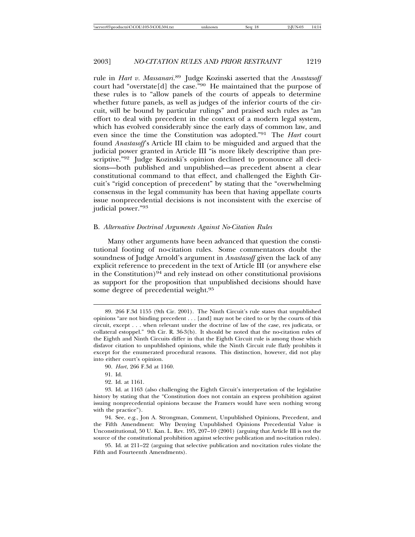rule in *Hart v. Massanari*. 89 Judge Kozinski asserted that the *Anastasoff* court had "overstate[d] the case."90 He maintained that the purpose of these rules is to "allow panels of the courts of appeals to determine whether future panels, as well as judges of the inferior courts of the circuit, will be bound by particular rulings" and praised such rules as "an effort to deal with precedent in the context of a modern legal system, which has evolved considerably since the early days of common law, and even since the time the Constitution was adopted."91 The *Hart* court found *Anastasoff*'s Article III claim to be misguided and argued that the judicial power granted in Article III "is more likely descriptive than prescriptive."92 Judge Kozinski's opinion declined to pronounce all decisions—both published and unpublished—as precedent absent a clear constitutional command to that effect, and challenged the Eighth Circuit's "rigid conception of precedent" by stating that the "overwhelming consensus in the legal community has been that having appellate courts issue nonprecedential decisions is not inconsistent with the exercise of judicial power."<sup>93</sup>

## B. *Alternative Doctrinal Arguments Against No-Citation Rules*

Many other arguments have been advanced that question the constitutional footing of no-citation rules. Some commentators doubt the soundness of Judge Arnold's argument in *Anastasoff* given the lack of any explicit reference to precedent in the text of Article III (or anywhere else in the Constitution)<sup>94</sup> and rely instead on other constitutional provisions as support for the proposition that unpublished decisions should have some degree of precedential weight.<sup>95</sup>

90. *Hart*, 266 F.3d at 1160.

91. Id.

92. Id. at 1161.

<sup>89. 266</sup> F.3d 1155 (9th Cir. 2001). The Ninth Circuit's rule states that unpublished opinions "are not binding precedent . . . [and] may not be cited to or by the courts of this circuit, except . . . when relevant under the doctrine of law of the case, res judicata, or collateral estoppel." 9th Cir. R. 36-3(b). It should be noted that the no-citation rules of the Eighth and Ninth Circuits differ in that the Eighth Circuit rule is among those which disfavor citation to unpublished opinions, while the Ninth Circuit rule flatly prohibits it except for the enumerated procedural reasons. This distinction, however, did not play into either court's opinion.

<sup>93.</sup> Id. at 1163 (also challenging the Eighth Circuit's interpretation of the legislative history by stating that the "Constitution does not contain an express prohibition against issuing nonprecedential opinions because the Framers would have seen nothing wrong with the practice").

<sup>94.</sup> See, e.g., Jon A. Strongman, Comment, Unpublished Opinions, Precedent, and the Fifth Amendment: Why Denying Unpublished Opinions Precedential Value is Unconstitutional, 50 U. Kan. L. Rev. 195, 207–10 (2001) (arguing that Article III is not the source of the constitutional prohibition against selective publication and no-citation rules).

<sup>95.</sup> Id. at 211–22 (arguing that selective publication and no-citation rules violate the Fifth and Fourteenth Amendments).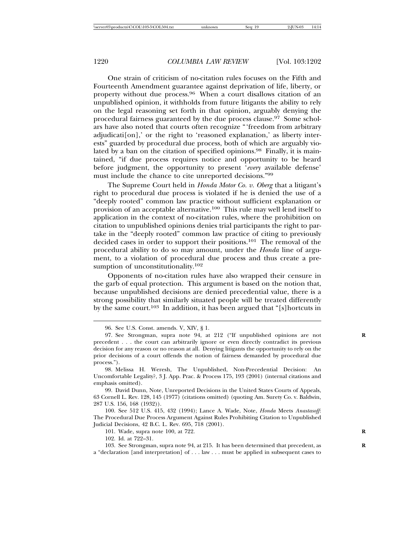One strain of criticism of no-citation rules focuses on the Fifth and Fourteenth Amendment guarantee against deprivation of life, liberty, or property without due process.96 When a court disallows citation of an unpublished opinion, it withholds from future litigants the ability to rely on the legal reasoning set forth in that opinion, arguably denying the procedural fairness guaranteed by the due process clause.<sup>97</sup> Some scholars have also noted that courts often recognize "'freedom from arbitrary adjudicati[on],' or the right to 'reasoned explanation,' as liberty interests" guarded by procedural due process, both of which are arguably violated by a ban on the citation of specified opinions.<sup>98</sup> Finally, it is maintained, "if due process requires notice and opportunity to be heard before judgment, the opportunity to present '*every* available defense' must include the chance to cite unreported decisions."<sup>99</sup>

The Supreme Court held in *Honda Motor Co. v. Oberg* that a litigant's right to procedural due process is violated if he is denied the use of a "deeply rooted" common law practice without sufficient explanation or provision of an acceptable alternative.100 This rule may well lend itself to application in the context of no-citation rules, where the prohibition on citation to unpublished opinions denies trial participants the right to partake in the "deeply rooted" common law practice of citing to previously decided cases in order to support their positions.101 The removal of the procedural ability to do so may amount, under the *Honda* line of argument, to a violation of procedural due process and thus create a presumption of unconstitutionality.<sup>102</sup>

Opponents of no-citation rules have also wrapped their censure in the garb of equal protection. This argument is based on the notion that, because unpublished decisions are denied precedential value, there is a strong possibility that similarly situated people will be treated differently by the same court.<sup>103</sup> In addition, it has been argued that "[s] hortcuts in

101. Wade, supra note 100, at 722. **R**

102. Id. at 722–31.

<sup>96.</sup> See U.S. Const. amends. V, XIV, § 1.

<sup>97.</sup> See Strongman, supra note 94, at 212 ("If unpublished opinions are not **R** precedent . . . the court can arbitrarily ignore or even directly contradict its previous decision for any reason or no reason at all. Denying litigants the opportunity to rely on the prior decisions of a court offends the notion of fairness demanded by procedural due process.").

<sup>98.</sup> Melissa H. Weresh, The Unpublished, Non-Precedential Decision: An Uncomfortable Legality?, 3 J. App. Prac. & Process 175, 193 (2001) (internal citations and emphasis omitted).

<sup>99.</sup> David Dunn, Note, Unreported Decisions in the United States Courts of Appeals, 63 Cornell L. Rev. 128, 145 (1977) (citations omitted) (quoting Am. Surety Co. v. Baldwin, 287 U.S. 156, 168 (1932)).

<sup>100.</sup> See 512 U.S. 415, 432 (1994); Lance A. Wade, Note, *Honda* Meets *Anastasoff*: The Procedural Due Process Argument Against Rules Prohibiting Citation to Unpublished Judicial Decisions, 42 B.C. L. Rev. 695, 718 (2001).

<sup>103.</sup> See Strongman, supra note 94, at 215. It has been determined that precedent, as **R** a "declaration [and interpretation] of . . . law . . . must be applied in subsequent cases to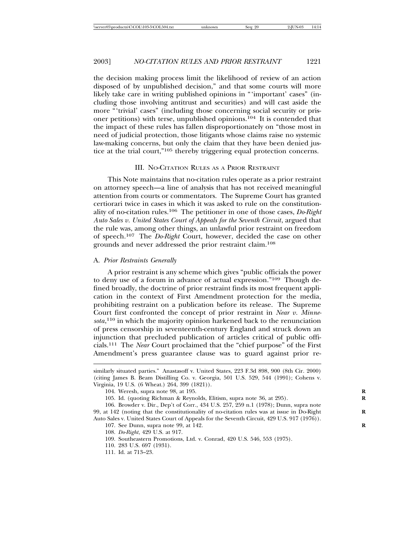the decision making process limit the likelihood of review of an action disposed of by unpublished decision," and that some courts will more likely take care in writing published opinions in "'important' cases" (including those involving antitrust and securities) and will cast aside the more "'trivial' cases" (including those concerning social security or prisoner petitions) with terse, unpublished opinions.104 It is contended that the impact of these rules has fallen disproportionately on "those most in need of judicial protection, those litigants whose claims raise no systemic law-making concerns, but only the claim that they have been denied justice at the trial court,"105 thereby triggering equal protection concerns.

## III. NO-CITATION RULES AS A PRIOR RESTRAINT

This Note maintains that no-citation rules operate as a prior restraint on attorney speech—a line of analysis that has not received meaningful attention from courts or commentators. The Supreme Court has granted certiorari twice in cases in which it was asked to rule on the constitutionality of no-citation rules.106 The petitioner in one of those cases, *Do-Right Auto Sales v. United States Court of Appeals for the Seventh Circuit*, argued that the rule was, among other things, an unlawful prior restraint on freedom of speech.107 The *Do-Right* Court, however, decided the case on other grounds and never addressed the prior restraint claim.<sup>108</sup>

#### A. *Prior Restraints Generally*

A prior restraint is any scheme which gives "public officials the power to deny use of a forum in advance of actual expression."109 Though defined broadly, the doctrine of prior restraint finds its most frequent application in the context of First Amendment protection for the media, prohibiting restraint on a publication before its release. The Supreme Court first confronted the concept of prior restraint in *Near v. Minnesota*, 110 in which the majority opinion harkened back to the renunciation of press censorship in seventeenth-century England and struck down an injunction that precluded publication of articles critical of public officials.111 The *Near* Court proclaimed that the "chief purpose" of the First Amendment's press guarantee clause was to guard against prior re-

similarly situated parties." Anastasoff v. United States, 223 F.3d 898, 900 (8th Cir. 2000) (citing James B. Beam Distilling Co. v. Georgia, 501 U.S. 529, 544 (1991); Cohens v. Virginia, 19 U.S. (6 Wheat.) 264, 399 (1821)).

<sup>104.</sup> Weresh, supra note 98, at 195. **R**

<sup>105.</sup> Id. (quoting Richman & Reynolds, Elitism, supra note 36, at 295). **R**

<sup>106.</sup> Browder v. Dir., Dep't of Corr., 434 U.S. 257, 259 n.1 (1978); Dunn, supra note 99, at 142 (noting that the constitutionality of no-citation rules was at issue in Do-Right **R** Auto Sales v. United States Court of Appeals for the Seventh Circuit, 429 U.S. 917 (1976)).

<sup>107.</sup> See Dunn, supra note 99, at 142. **R**

<sup>108.</sup> *Do-Right*, 429 U.S. at 917.

<sup>109.</sup> Southeastern Promotions, Ltd. v. Conrad, 420 U.S. 546, 553 (1975).

<sup>110. 283</sup> U.S. 697 (1931).

<sup>111.</sup> Id. at 713–23.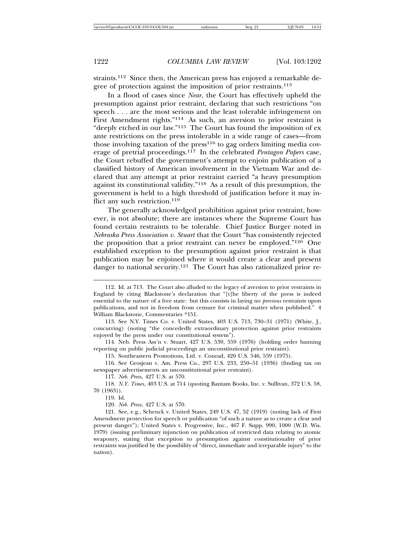straints.112 Since then, the American press has enjoyed a remarkable degree of protection against the imposition of prior restraints.<sup>113</sup>

In a flood of cases since *Near*, the Court has effectively upheld the presumption against prior restraint, declaring that such restrictions "on speech . . . are the most serious and the least tolerable infringement on First Amendment rights."114 As such, an aversion to prior restraint is "deeply etched in our law."115 The Court has found the imposition of ex ante restrictions on the press intolerable in a wide range of cases—from those involving taxation of the  $press<sup>116</sup>$  to gag orders limiting media coverage of pretrial proceedings.117 In the celebrated *Pentagon Papers* case, the Court rebuffed the government's attempt to enjoin publication of a classified history of American involvement in the Vietnam War and declared that any attempt at prior restraint carried "a heavy presumption against its constitutional validity."118 As a result of this presumption, the government is held to a high threshold of justification before it may inflict any such restriction.<sup>119</sup>

The generally acknowledged prohibition against prior restraint, however, is not absolute; there are instances where the Supreme Court has found certain restraints to be tolerable. Chief Justice Burger noted in *Nebraska Press Association v. Stuart* that the Court "has consistently rejected the proposition that a prior restraint can never be employed.<sup>"120</sup> One established exception to the presumption against prior restraint is that publication may be enjoined where it would create a clear and present danger to national security.121 The Court has also rationalized prior re-

114. Neb. Press Ass'n v. Stuart, 427 U.S. 539, 559 (1976) (holding order banning reporting on public judicial proceedings an unconstitutional prior restraint).

115. Southeastern Promotions, Ltd. v. Conrad, 420 U.S. 546, 559 (1975).

116. See Grosjean v. Am. Press Co., 297 U.S. 233, 250–51 (1936) (finding tax on newspaper advertisements an unconstitutional prior restraint).

117. *Neb. Press*, 427 U.S. at 570.

118. *N.Y. Times*, 403 U.S. at 714 (quoting Bantam Books, Inc. v. Sullivan, 372 U.S. 58, 70 (1963)).

119. Id.

120. *Neb. Press*, 427 U.S. at 570.

121. See, e.g., Schenck v. United States, 249 U.S. 47, 52 (1919) (noting lack of First Amendment protection for speech or publication "of such a nature as to create a clear and present danger"); United States v. Progressive, Inc., 467 F. Supp. 990, 1000 (W.D. Wis. 1979) (issuing preliminary injunction on publication of restricted data relating to atomic weaponry, stating that exception to presumption against constitutionality of prior restraints was justified by the possibility of "direct, immediate and irreparable injury" to the nation).

<sup>112.</sup> Id. at 713. The Court also alluded to the legacy of aversion to prior restraints in England by citing Blackstone's declaration that "[t]he liberty of the press is indeed essential to the nature of a free state: but this consists in laying no *previous* restraints upon publications, and not in freedom from censure for criminal matter when published." 4 William Blackstone, Commentaries \*151.

<sup>113.</sup> See N.Y. Times Co. v. United States, 403 U.S. 713, 730–31 (1971) (White, J., concurring) (noting "the concededly extraordinary protection against prior restraints enjoyed by the press under our constitutional system").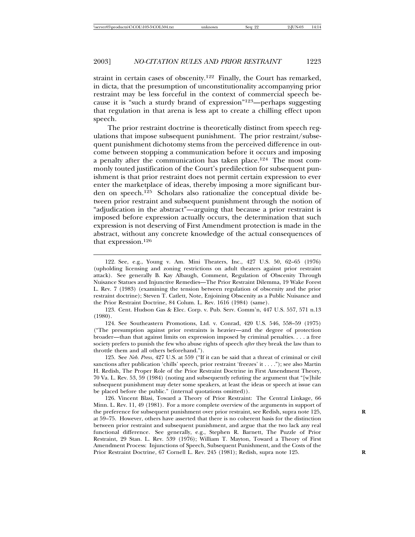straint in certain cases of obscenity.122 Finally, the Court has remarked, in dicta, that the presumption of unconstitutionality accompanying prior restraint may be less forceful in the context of commercial speech because it is "such a sturdy brand of expression"123—perhaps suggesting that regulation in that arena is less apt to create a chilling effect upon speech.

The prior restraint doctrine is theoretically distinct from speech regulations that impose subsequent punishment. The prior restraint/subsequent punishment dichotomy stems from the perceived difference in outcome between stopping a communication before it occurs and imposing a penalty after the communication has taken place.124 The most commonly touted justification of the Court's predilection for subsequent punishment is that prior restraint does not permit certain expression to ever enter the marketplace of ideas, thereby imposing a more significant burden on speech.125 Scholars also rationalize the conceptual divide between prior restraint and subsequent punishment through the notion of "adjudication in the abstract"—arguing that because a prior restraint is imposed before expression actually occurs, the determination that such expression is not deserving of First Amendment protection is made in the abstract, without any concrete knowledge of the actual consequences of that expression.<sup>126</sup>

124. See Southeastern Promotions, Ltd. v. Conrad, 420 U.S. 546, 558–59 (1975) ("The presumption against prior restraints is heavier—and the degree of protection broader—than that against limits on expression imposed by criminal penalties. . . . a free society prefers to punish the few who abuse rights of speech *after* they break the law than to throttle them and all others beforehand.").

125. See *Neb. Press*, 427 U.S. at 559 ("If it can be said that a threat of criminal or civil sanctions after publication 'chills' speech, prior restraint 'freezes' it . . . ."); see also Martin H. Redish, The Proper Role of the Prior Restraint Doctrine in First Amendment Theory, 70 Va. L. Rev. 53, 59 (1984) (noting and subsequently refuting the argument that "[w]hile subsequent punishment may deter some speakers, at least the ideas or speech at issue can be placed before the public." (internal quotations omitted)).

126. Vincent Blasi, Toward a Theory of Prior Restraint: The Central Linkage, 66 Minn. L. Rev. 11, 49 (1981). For a more complete overview of the arguments in support of the preference for subsequent punishment over prior restraint, see Redish, supra note 125, **R** at 59–75. However, others have asserted that there is no coherent basis for the distinction between prior restraint and subsequent punishment, and argue that the two lack any real functional difference. See generally, e.g., Stephen R. Barnett, The Puzzle of Prior Restraint, 29 Stan. L. Rev. 539 (1976); William T. Mayton, Toward a Theory of First Amendment Process: Injunctions of Speech, Subsequent Punishment, and the Costs of the Prior Restraint Doctrine, 67 Cornell L. Rev. 245 (1981); Redish, supra note 125. **R**

<sup>122.</sup> See, e.g., Young v. Am. Mini Theaters, Inc., 427 U.S. 50, 62–65 (1976) (upholding licensing and zoning restrictions on adult theaters against prior restraint attack). See generally B. Kay Albaugh, Comment, Regulation of Obscenity Through Nuisance Statues and Injunctive Remedies—The Prior Restraint Dilemma, 19 Wake Forest L. Rev. 7 (1983) (examining the tension between regulation of obscenity and the prior restraint doctrine); Steven T. Catlett, Note, Enjoining Obscenity as a Public Nuisance and the Prior Restraint Doctrine, 84 Colum. L. Rev. 1616 (1984) (same).

<sup>123.</sup> Cent. Hudson Gas & Elec. Corp. v. Pub. Serv. Comm'n, 447 U.S. 557, 571 n.13 (1980).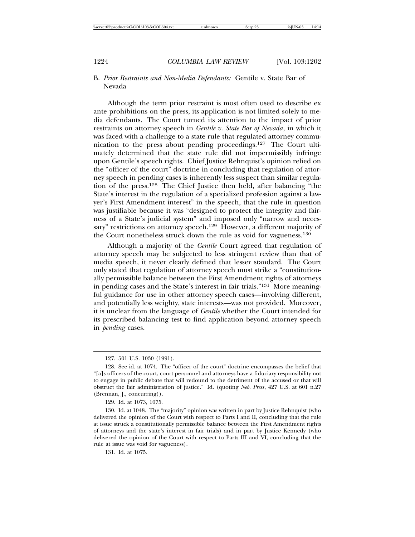## B. *Prior Restraints and Non-Media Defendants:* Gentile v. State Bar of Nevada

Although the term prior restraint is most often used to describe ex ante prohibitions on the press, its application is not limited solely to media defendants. The Court turned its attention to the impact of prior restraints on attorney speech in *Gentile v. State Bar of Nevada*, in which it was faced with a challenge to a state rule that regulated attorney communication to the press about pending proceedings.127 The Court ultimately determined that the state rule did not impermissibly infringe upon Gentile's speech rights. Chief Justice Rehnquist's opinion relied on the "officer of the court" doctrine in concluding that regulation of attorney speech in pending cases is inherently less suspect than similar regulation of the press.128 The Chief Justice then held, after balancing "the State's interest in the regulation of a specialized profession against a lawyer's First Amendment interest" in the speech, that the rule in question was justifiable because it was "designed to protect the integrity and fairness of a State's judicial system" and imposed only "narrow and necessary" restrictions on attorney speech.<sup>129</sup> However, a different majority of the Court nonetheless struck down the rule as void for vagueness.<sup>130</sup>

Although a majority of the *Gentile* Court agreed that regulation of attorney speech may be subjected to less stringent review than that of media speech, it never clearly defined that lesser standard. The Court only stated that regulation of attorney speech must strike a "constitutionally permissible balance between the First Amendment rights of attorneys in pending cases and the State's interest in fair trials."131 More meaningful guidance for use in other attorney speech cases—involving different, and potentially less weighty, state interests—was not provided. Moreover, it is unclear from the language of *Gentile* whether the Court intended for its prescribed balancing test to find application beyond attorney speech in *pending* cases.

<sup>127. 501</sup> U.S. 1030 (1991).

<sup>128.</sup> See id. at 1074. The "officer of the court" doctrine encompasses the belief that "[a]s officers of the court, court personnel and attorneys have a fiduciary responsibility not to engage in public debate that will redound to the detriment of the accused or that will obstruct the fair administration of justice." Id. (quoting *Neb. Press*, 427 U.S. at 601 n.27 (Brennan, J., concurring)).

<sup>129.</sup> Id. at 1073, 1075.

<sup>130.</sup> Id. at 1048. The "majority" opinion was written in part by Justice Rehnquist (who delivered the opinion of the Court with respect to Parts I and II, concluding that the rule at issue struck a constitutionally permissible balance between the First Amendment rights of attorneys and the state's interest in fair trials) and in part by Justice Kennedy (who delivered the opinion of the Court with respect to Parts III and VI, concluding that the rule at issue was void for vagueness).

<sup>131.</sup> Id. at 1075.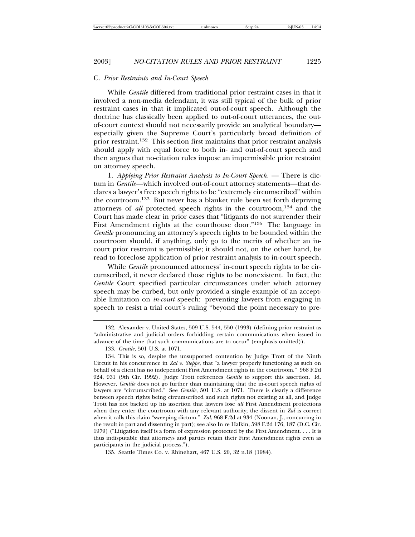#### C. *Prior Restraints and In-Court Speech*

While *Gentile* differed from traditional prior restraint cases in that it involved a non-media defendant, it was still typical of the bulk of prior restraint cases in that it implicated out-of-court speech. Although the doctrine has classically been applied to out-of-court utterances, the outof-court context should not necessarily provide an analytical boundary especially given the Supreme Court's particularly broad definition of prior restraint.132 This section first maintains that prior restraint analysis should apply with equal force to both in- and out-of-court speech and then argues that no-citation rules impose an impermissible prior restraint on attorney speech.

1. *Applying Prior Restraint Analysis to In-Court Speech*. — There is dictum in *Gentile*—which involved out-of-court attorney statements—that declares a lawyer's free speech rights to be "extremely circumscribed" within the courtroom.133 But never has a blanket rule been set forth depriving attorneys of *all* protected speech rights in the courtroom,134 and the Court has made clear in prior cases that "litigants do not surrender their First Amendment rights at the courthouse door."135 The language in *Gentile* pronouncing an attorney's speech rights to be bounded within the courtroom should, if anything, only go to the merits of whether an incourt prior restraint is permissible; it should not, on the other hand, be read to foreclose application of prior restraint analysis to in-court speech.

While *Gentile* pronounced attorneys' in-court speech rights to be circumscribed, it never declared those rights to be nonexistent. In fact, the *Gentile* Court specified particular circumstances under which attorney speech may be curbed, but only provided a single example of an acceptable limitation on *in-court* speech: preventing lawyers from engaging in speech to resist a trial court's ruling "beyond the point necessary to pre-

135. Seattle Times Co. v. Rhinehart, 467 U.S. 20, 32 n.18 (1984).

<sup>132.</sup> Alexander v. United States, 509 U.S. 544, 550 (1993) (defining prior restraint as "administrative and judicial orders forbidding certain communications when issued in advance of the time that such communications are to occur" (emphasis omitted)).

<sup>133.</sup> *Gentile*, 501 U.S. at 1071.

<sup>134.</sup> This is so, despite the unsupported contention by Judge Trott of the Ninth Circuit in his concurrence in *Zal v. Steppe*, that "a lawyer properly functioning as such on behalf of a client has no independent First Amendment rights in the courtroom." 968 F.2d 924, 931 (9th Cir. 1992). Judge Trott references *Gentile* to support this assertion. Id. However, *Gentile* does not go further than maintaining that the in-court speech rights of lawyers are "circumscribed." See *Gentile*, 501 U.S. at 1071. There is clearly a difference between speech rights being circumscribed and such rights not existing at all, and Judge Trott has not backed up his assertion that lawyers lose *all* First Amendment protections when they enter the courtroom with any relevant authority; the dissent in *Zal* is correct when it calls this claim "sweeping dictum." *Zal*, 968 F.2d at 934 (Noonan, J., concurring in the result in part and dissenting in part); see also In re Halkin, 598 F.2d 176, 187 (D.C. Cir. 1979) ("Litigation itself is a form of expression protected by the First Amendment. . . . It is thus indisputable that attorneys and parties retain their First Amendment rights even as participants in the judicial process.").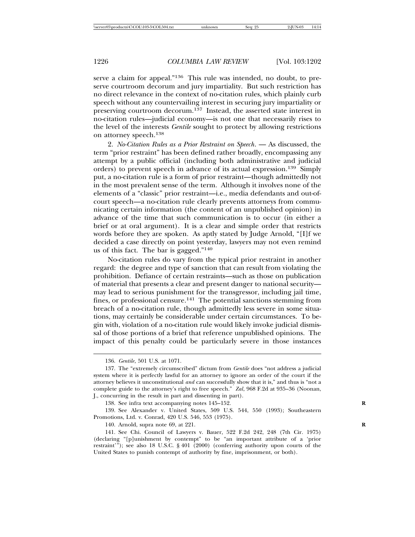serve a claim for appeal."136 This rule was intended, no doubt, to preserve courtroom decorum and jury impartiality. But such restriction has no direct relevance in the context of no-citation rules, which plainly curb speech without any countervailing interest in securing jury impartiality or preserving courtroom decorum.<sup>137</sup> Instead, the asserted state interest in no-citation rules—judicial economy—is not one that necessarily rises to the level of the interests *Gentile* sought to protect by allowing restrictions on attorney speech.<sup>138</sup>

2. *No-Citation Rules as a Prior Restraint on Speech*. — As discussed, the term "prior restraint" has been defined rather broadly, encompassing any attempt by a public official (including both administrative and judicial orders) to prevent speech in advance of its actual expression.139 Simply put, a no-citation rule is a form of prior restraint—though admittedly not in the most prevalent sense of the term. Although it involves none of the elements of a "classic" prior restraint—i.e., media defendants and out-ofcourt speech—a no-citation rule clearly prevents attorneys from communicating certain information (the content of an unpublished opinion) in advance of the time that such communication is to occur (in either a brief or at oral argument). It is a clear and simple order that restricts words before they are spoken. As aptly stated by Judge Arnold, "[I]f we decided a case directly on point yesterday, lawyers may not even remind us of this fact. The bar is gagged."<sup>140</sup>

No-citation rules do vary from the typical prior restraint in another regard: the degree and type of sanction that can result from violating the prohibition. Defiance of certain restraints—such as those on publication of material that presents a clear and present danger to national security may lead to serious punishment for the transgressor, including jail time, fines, or professional censure.<sup>141</sup> The potential sanctions stemming from breach of a no-citation rule, though admittedly less severe in some situations, may certainly be considerable under certain circumstances. To begin with, violation of a no-citation rule would likely invoke judicial dismissal of those portions of a brief that reference unpublished opinions. The impact of this penalty could be particularly severe in those instances

140. Arnold, supra note 69, at 221. **R**

<sup>136.</sup> *Gentile*, 501 U.S. at 1071.

<sup>137.</sup> The "extremely circumscribed" dictum from *Gentile* does "not address a judicial system where it is perfectly lawful for an attorney to ignore an order of the court if the attorney believes it unconstitutional *and* can successfully show that it is," and thus is "not a complete guide to the attorney's right to free speech." *Zal*, 968 F.2d at 935–36 (Noonan, J., concurring in the result in part and dissenting in part).

<sup>138.</sup> See infra text accompanying notes 145–152. **R**

<sup>139.</sup> See Alexander v. United States, 509 U.S. 544, 550 (1993); Southeastern Promotions, Ltd. v. Conrad, 420 U.S. 546, 553 (1975).

<sup>141.</sup> See Chi. Council of Lawyers v. Bauer, 522 F.2d 242, 248 (7th Cir. 1975) (declaring "[p]unishment by contempt" to be "an important attribute of a 'prior restraint'"); see also 18 U.S.C. § 401 (2000) (conferring authority upon courts of the United States to punish contempt of authority by fine, imprisonment, or both).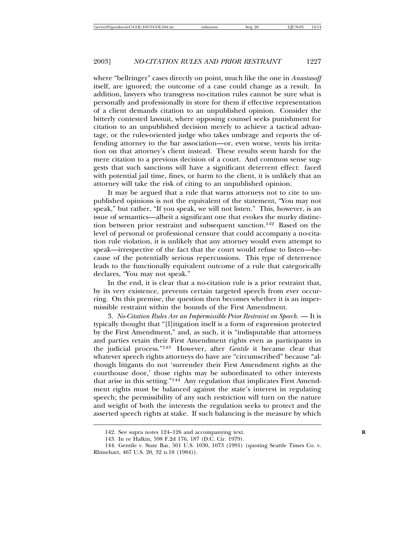where "bellringer" cases directly on point, much like the one in *Anastasoff* itself, are ignored; the outcome of a case could change as a result. In addition, lawyers who transgress no-citation rules cannot be sure what is personally and professionally in store for them if effective representation of a client demands citation to an unpublished opinion. Consider the bitterly contested lawsuit, where opposing counsel seeks punishment for citation to an unpublished decision merely to achieve a tactical advantage, or the rules-oriented judge who takes umbrage and reports the offending attorney to the bar association—or, even worse, vents his irritation on that attorney's client instead. These results seem harsh for the mere citation to a previous decision of a court. And common sense suggests that such sanctions will have a significant deterrent effect: faced with potential jail time, fines, or harm to the client, it is unlikely that an attorney will take the risk of citing to an unpublished opinion.

It may be argued that a rule that warns attorneys not to cite to unpublished opinions is not the equivalent of the statement, "You may not speak," but rather, "If you speak, we will not listen." This, however, is an issue of semantics—albeit a significant one that evokes the murky distinction between prior restraint and subsequent sanction.142 Based on the level of personal or professional censure that could accompany a no-citation rule violation, it is unlikely that any attorney would even attempt to speak—irrespective of the fact that the court would refuse to listen—because of the potentially serious repercussions. This type of deterrence leads to the functionally equivalent outcome of a rule that categorically declares, "You may not speak."

In the end, it is clear that a no-citation rule is a prior restraint that, by its very existence, prevents certain targeted speech from ever occurring. On this premise, the question then becomes whether it is an impermissible restraint within the bounds of the First Amendment.

3. *No-Citation Rules Are an Impermissible Prior Restraint on Speech.* — It is typically thought that "[l]itigation itself is a form of expression protected by the First Amendment," and, as such, it is "indisputable that attorneys and parties retain their First Amendment rights even as participants in the judicial process."143 However, after *Gentile* it became clear that whatever speech rights attorneys do have are "circumscribed" because "although litigants do not 'surrender their First Amendment rights at the courthouse door,' those rights may be subordinated to other interests that arise in this setting."144 Any regulation that implicates First Amendment rights must be balanced against the state's interest in regulating speech; the permissibility of any such restriction will turn on the nature and weight of both the interests the regulation seeks to protect and the asserted speech rights at stake. If such balancing is the measure by which

<sup>142.</sup> See supra notes 124–126 and accompanying text. **R**

<sup>143.</sup> In re Halkin, 598 F.2d 176, 187 (D.C. Cir. 1979).

<sup>144.</sup> Gentile v. State Bar, 501 U.S. 1030, 1073 (1991) (quoting Seattle Times Co. v. Rhinehart, 467 U.S. 20, 32 n.18 (1984)).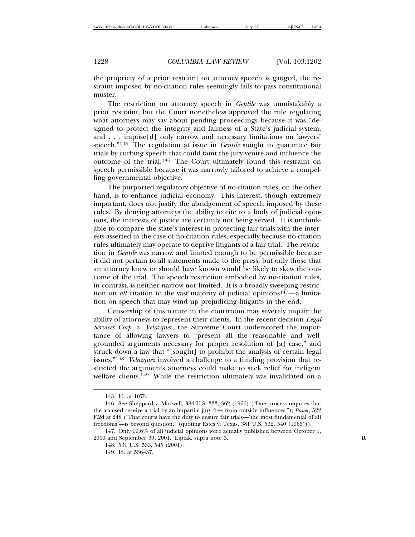the propriety of a prior restraint on attorney speech is gauged, the restraint imposed by no-citation rules seemingly fails to pass constitutional muster.

The restriction on attorney speech in *Gentile* was unmistakably a prior restraint, but the Court nonetheless approved the rule regulating what attorneys may say about pending proceedings because it was "designed to protect the integrity and fairness of a State's judicial system, and . . . impose[d] only narrow and necessary limitations on lawyers' speech."145 The regulation at issue in *Gentile* sought to guarantee fair trials by curbing speech that could taint the jury venire and influence the outcome of the trial.146 The Court ultimately found this restraint on speech permissible because it was narrowly tailored to achieve a compelling governmental objective.

The purported regulatory objective of no-citation rules, on the other hand, is to enhance judicial economy. This interest, though extremely important, does not justify the abridgement of speech imposed by these rules. By denying attorneys the ability to cite to a body of judicial opinions, the interests of justice are certainly not being served. It is unthinkable to compare the state's interest in protecting fair trials with the interests asserted in the case of no-citation rules, especially because no-citation rules ultimately may operate to deprive litigants of a fair trial. The restriction in *Gentile* was narrow and limited enough to be permissible because it did not pertain to all statements made to the press, but only those that an attorney knew or should have known would be likely to skew the outcome of the trial. The speech restriction embodied by no-citation rules, in contrast, is neither narrow nor limited. It is a broadly sweeping restriction on *all* citation to the vast majority of judicial opinions<sup>147</sup>—a limitation on speech that may wind up prejudicing litigants in the end.

Censorship of this nature in the courtroom may severely impair the ability of attorneys to represent their clients. In the recent decision *Legal Services Corp. v. Velazquez*, the Supreme Court underscored the importance of allowing lawyers to "present all the reasonable and wellgrounded arguments necessary for proper resolution of [a] case," and struck down a law that "[sought] to prohibit the analysis of certain legal issues."<sup>148</sup> *Velazquez* involved a challenge to a funding provision that restricted the arguments attorneys could make to seek relief for indigent welfare clients.<sup>149</sup> While the restriction ultimately was invalidated on a

<sup>145.</sup> Id. at 1075.

<sup>146.</sup> See Sheppard v. Maxwell, 384 U.S. 333, 362 (1966) ("Due process requires that the accused receive a trial by an impartial jury free from outside influences."); *Bauer*, 522 F.2d at 248 ("That courts have the duty to ensure fair trials—'the most fundamental of all freedoms'—is beyond question." (quoting Estes v. Texas, 381 U.S. 532, 540 (1965))).

<sup>147.</sup> Only 19.6% of all judicial opinions were actually published between October 1, 2000 and September 30, 2001. Liptak, supra note 3. **R**

<sup>148. 531</sup> U.S. 533, 545 (2001).

<sup>149.</sup> Id. at 536–37.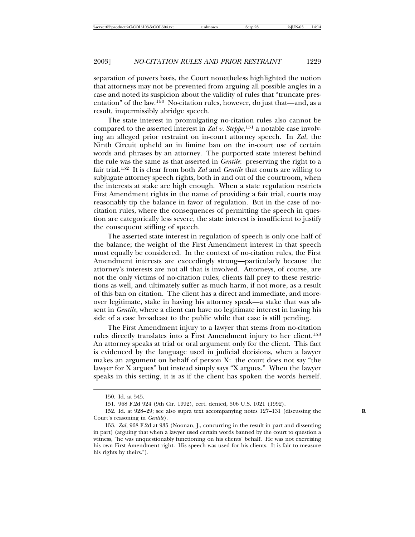separation of powers basis, the Court nonetheless highlighted the notion that attorneys may not be prevented from arguing all possible angles in a case and noted its suspicion about the validity of rules that "truncate presentation" of the law.150 No-citation rules, however, do just that—and, as a result, impermissibly abridge speech.

The state interest in promulgating no-citation rules also cannot be compared to the asserted interest in *Zal v. Steppe*, 151 a notable case involving an alleged prior restraint on in-court attorney speech. In *Zal*, the Ninth Circuit upheld an in limine ban on the in-court use of certain words and phrases by an attorney. The purported state interest behind the rule was the same as that asserted in *Gentile*: preserving the right to a fair trial.152 It is clear from both *Zal* and *Gentile* that courts are willing to subjugate attorney speech rights, both in and out of the courtroom, when the interests at stake are high enough. When a state regulation restricts First Amendment rights in the name of providing a fair trial, courts may reasonably tip the balance in favor of regulation. But in the case of nocitation rules, where the consequences of permitting the speech in question are categorically less severe, the state interest is insufficient to justify the consequent stifling of speech.

The asserted state interest in regulation of speech is only one half of the balance; the weight of the First Amendment interest in that speech must equally be considered. In the context of no-citation rules, the First Amendment interests are exceedingly strong—particularly because the attorney's interests are not all that is involved. Attorneys, of course, are not the only victims of no-citation rules; clients fall prey to these restrictions as well, and ultimately suffer as much harm, if not more, as a result of this ban on citation. The client has a direct and immediate, and moreover legitimate, stake in having his attorney speak—a stake that was absent in *Gentile*, where a client can have no legitimate interest in having his side of a case broadcast to the public while that case is still pending.

The First Amendment injury to a lawyer that stems from no-citation rules directly translates into a First Amendment injury to her client.<sup>153</sup> An attorney speaks at trial or oral argument only for the client. This fact is evidenced by the language used in judicial decisions, when a lawyer makes an argument on behalf of person X: the court does not say "the lawyer for X argues" but instead simply says "X argues." When the lawyer speaks in this setting, it is as if the client has spoken the words herself.

<sup>150.</sup> Id. at 545.

<sup>151. 968</sup> F.2d 924 (9th Cir. 1992), cert. denied, 506 U.S. 1021 (1992).

<sup>152.</sup> Id. at 928–29; see also supra text accompanying notes 127–131 (discussing the **R** Court's reasoning in *Gentile*).

<sup>153.</sup> *Zal*, 968 F.2d at 935 (Noonan, J., concurring in the result in part and dissenting in part) (arguing that when a lawyer used certain words banned by the court to question a witness, "he was unquestionably functioning on his clients' behalf. He was not exercising his own First Amendment right. His speech was used for his clients. It is fair to measure his rights by theirs.").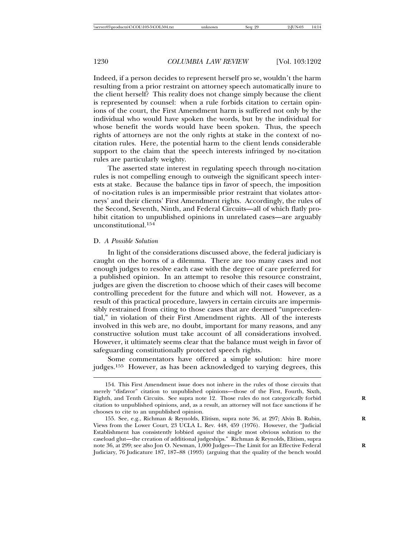Indeed, if a person decides to represent herself pro se, wouldn't the harm resulting from a prior restraint on attorney speech automatically inure to the client herself? This reality does not change simply because the client is represented by counsel: when a rule forbids citation to certain opinions of the court, the First Amendment harm is suffered not only by the individual who would have spoken the words, but by the individual for whose benefit the words would have been spoken. Thus, the speech rights of attorneys are not the only rights at stake in the context of nocitation rules. Here, the potential harm to the client lends considerable support to the claim that the speech interests infringed by no-citation rules are particularly weighty.

The asserted state interest in regulating speech through no-citation rules is not compelling enough to outweigh the significant speech interests at stake. Because the balance tips in favor of speech, the imposition of no-citation rules is an impermissible prior restraint that violates attorneys' and their clients' First Amendment rights. Accordingly, the rules of the Second, Seventh, Ninth, and Federal Circuits—all of which flatly prohibit citation to unpublished opinions in unrelated cases—are arguably unconstitutional.<sup>154</sup>

#### D. *A Possible Solution*

In light of the considerations discussed above, the federal judiciary is caught on the horns of a dilemma. There are too many cases and not enough judges to resolve each case with the degree of care preferred for a published opinion. In an attempt to resolve this resource constraint, judges are given the discretion to choose which of their cases will become controlling precedent for the future and which will not. However, as a result of this practical procedure, lawyers in certain circuits are impermissibly restrained from citing to those cases that are deemed "unprecedential," in violation of their First Amendment rights. All of the interests involved in this web are, no doubt, important for many reasons, and any constructive solution must take account of all considerations involved. However, it ultimately seems clear that the balance must weigh in favor of safeguarding constitutionally protected speech rights.

Some commentators have offered a simple solution: hire more judges.155 However, as has been acknowledged to varying degrees, this

<sup>154.</sup> This First Amendment issue does not inhere in the rules of those circuits that merely "disfavor" citation to unpublished opinions—those of the First, Fourth, Sixth, Eighth, and Tenth Circuits. See supra note 12. Those rules do not categorically forbid **R** citation to unpublished opinions, and, as a result, an attorney will not face sanctions if he chooses to cite to an unpublished opinion.

<sup>155.</sup> See, e.g., Richman & Reynolds, Elitism, supra note 36, at 297; Alvin B. Rubin, **R** Views from the Lower Court, 23 UCLA L. Rev. 448, 459 (1976). However, the "Judicial Establishment has consistently lobbied *against* the single most obvious solution to the caseload glut—the creation of additional judgeships." Richman & Reynolds, Elitism, supra note 36, at 299; see also Jon O. Newman, 1,000 Judges—The Limit for an Effective Federal **R** Judiciary, 76 Judicature 187, 187–88 (1993) (arguing that the quality of the bench would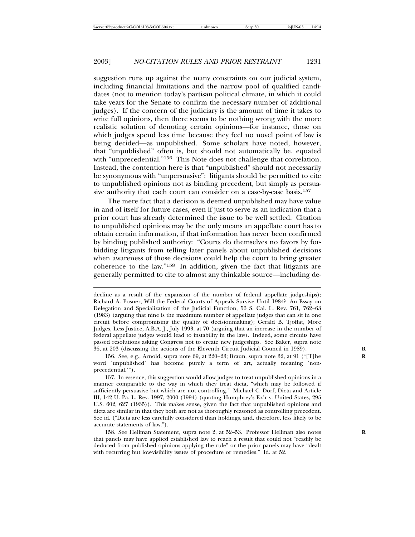suggestion runs up against the many constraints on our judicial system, including financial limitations and the narrow pool of qualified candidates (not to mention today's partisan political climate, in which it could take years for the Senate to confirm the necessary number of additional judges). If the concern of the judiciary is the amount of time it takes to write full opinions, then there seems to be nothing wrong with the more realistic solution of denoting certain opinions—for instance, those on which judges spend less time because they feel no novel point of law is being decided—as unpublished. Some scholars have noted, however, that "unpublished" often is, but should not automatically be, equated with "unprecedential."<sup>156</sup> This Note does not challenge that correlation. Instead, the contention here is that "unpublished" should not necessarily be synonymous with "unpersuasive": litigants should be permitted to cite to unpublished opinions not as binding precedent, but simply as persuasive authority that each court can consider on a case-by-case basis.<sup>157</sup>

The mere fact that a decision is deemed unpublished may have value in and of itself for future cases, even if just to serve as an indication that a prior court has already determined the issue to be well settled. Citation to unpublished opinions may be the only means an appellate court has to obtain certain information, if that information has never been confirmed by binding published authority: "Courts do themselves no favors by forbidding litigants from telling later panels about unpublished decisions when awareness of those decisions could help the court to bring greater coherence to the law."158 In addition, given the fact that litigants are generally permitted to cite to almost any thinkable source—including de-

156. See, e.g., Arnold, supra note 69, at 220–23; Braun, supra note 32, at 91 ("[T]he **R** word 'unpublished' has become purely a term of art, actually meaning 'nonprecedential.'").

157. In essence, this suggestion would allow judges to treat unpublished opinions in a manner comparable to the way in which they treat dicta, "which may be followed if sufficiently persuasive but which are not controlling." Michael C. Dorf, Dicta and Article III, 142 U. Pa. L. Rev. 1997, 2000 (1994) (quoting Humphrey's Ex'r v. United States, 295 U.S. 602, 627 (1935)). This makes sense, given the fact that unpublished opinions and dicta are similar in that they both are not as thoroughly reasoned as controlling precedent. See id. ("Dicta are less carefully considered than holdings, and, therefore, less likely to be accurate statements of law.").

158. See Hellman Statement, supra note 2, at 52–53. Professor Hellman also notes **R** that panels may have applied established law to reach a result that could not "readily be deduced from published opinions applying the rule" or the prior panels may have "dealt with recurring but low-visibility issues of procedure or remedies." Id. at 52.

decline as a result of the expansion of the number of federal appellate judgeships); Richard A. Posner, Will the Federal Courts of Appeals Survive Until 1984? An Essay on Delegation and Specialization of the Judicial Function, 56 S. Cal. L. Rev. 761, 762–63 (1983) (arguing that nine is the maximum number of appellate judges that can sit in one circuit before compromising the quality of decisionmaking); Gerald B. Tjoflat, More Judges, Less Justice, A.B.A. J., July 1993, at 70 (arguing that an increase in the number of federal appellate judges would lead to instability in the law). Indeed, some circuits have passed resolutions asking Congress not to create new judgeships. See Baker, supra note 36, at 203 (discussing the actions of the Eleventh Circuit Judicial Council in 1989). **R**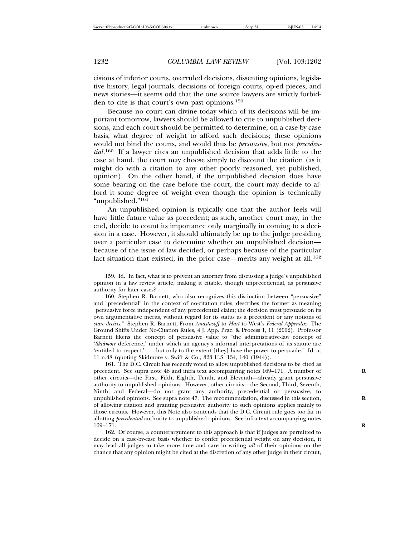cisions of inferior courts, overruled decisions, dissenting opinions, legislative history, legal journals, decisions of foreign courts, op-ed pieces, and news stories—it seems odd that the one source lawyers are strictly forbidden to cite is that court's own past opinions.<sup>159</sup>

Because no court can divine today which of its decisions will be important tomorrow, lawyers should be allowed to cite to unpublished decisions, and each court should be permitted to determine, on a case-by-case basis, what degree of weight to afford such decisions; these opinions would not bind the courts, and would thus be *persuasive*, but not *precedential*. 160 If a lawyer cites an unpublished decision that adds little to the case at hand, the court may choose simply to discount the citation (as it might do with a citation to any other poorly reasoned, yet published, opinion). On the other hand, if the unpublished decision does have some bearing on the case before the court, the court may decide to afford it some degree of weight even though the opinion is technically "unpublished."<sup>161</sup>

An unpublished opinion is typically one that the author feels will have little future value as precedent; as such, another court may, in the end, decide to count its importance only marginally in coming to a decision in a case. However, it should ultimately be up to the judge presiding over a particular case to determine whether an unpublished decision because of the issue of law decided, or perhaps because of the particular fact situation that existed, in the prior case—merits any weight at all.<sup>162</sup>

161. The D.C. Circuit has recently voted to allow unpublished decisions to be cited as precedent. See supra note 48 and infra text accompanying notes 169–171. A number of **R** other circuits—the First, Fifth, Eighth, Tenth, and Eleventh—already grant persuasive authority to unpublished opinions. However, other circuits—the Second, Third, Seventh, Ninth, and Federal—do not grant any authority, precedential or persuasive, to unpublished opinions. See supra note 47. The recommendation, discussed in this section, **R** of allowing citation and granting persuasive authority to such opinions applies mainly to those circuits. However, this Note also contends that the D.C. Circuit rule goes too far in allotting *precedential* authority to unpublished opinions. See infra text accompanying notes 169–171. **R**

162. Of course, a counterargument to this approach is that if judges are permitted to decide on a case-by-case basis whether to confer precedential weight on any decision, it may lead all judges to take more time and care in writing *all* of their opinions on the chance that any opinion might be cited at the discretion of any other judge in their circuit,

<sup>159.</sup> Id. In fact, what is to prevent an attorney from discussing a judge's unpublished opinion in a law review article, making it citable, though unprecedential, as persuasive authority for later cases?

<sup>160.</sup> Stephen R. Barnett, who also recognizes this distinction between "persuasive" and "precedential" in the context of no-citation rules, describes the former as meaning "persuasive force independent of any precedential claim; the decision must persuade on its own argumentative merits, without regard for its status as a precedent or any notions of *stare decisis*." Stephen R. Barnett, From *Anastasoff* to *Hart* to West's *Federal Appendix*: The Ground Shifts Under No-Citation Rules, 4 J. App. Prac. & Process 1, 11 (2002). Professor Barnett likens the concept of persuasive value to "the administrative-law concept of '*Skidmore* deference,' under which an agency's informal interpretations of its statute are 'entitled to respect,' . . . but only to the extent [they] have the power to persuade." Id. at 11 n.48 (quoting Skidmore v. Swift & Co., 323 U.S. 134, 140 (1944)).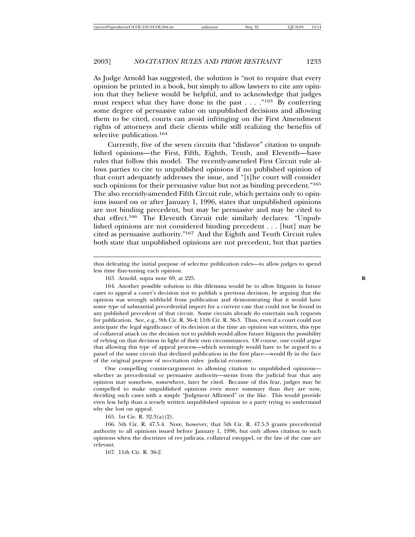As Judge Arnold has suggested, the solution is "not to require that every opinion be printed in a book, but simply to allow lawyers to cite any opinion that they believe would be helpful, and to acknowledge that judges must respect what they have done in the past  $\dots$  ."<sup>163</sup> By conferring some degree of persuasive value on unpublished decisions and allowing them to be cited, courts can avoid infringing on the First Amendment rights of attorneys and their clients while still realizing the benefits of selective publication.<sup>164</sup>

Currently, five of the seven circuits that "disfavor" citation to unpublished opinions—the First, Fifth, Eighth, Tenth, and Eleventh—have rules that follow this model. The recently-amended First Circuit rule allows parties to cite to unpublished opinions if no published opinion of that court adequately addresses the issue, and "[t]he court will consider such opinions for their persuasive value but not as binding precedent."<sup>165</sup> The also recently-amended Fifth Circuit rule, which pertains only to opinions issued on or after January 1, 1996, states that unpublished opinions are not binding precedent, but may be persuasive and may be cited to that effect.166 The Eleventh Circuit rule similarly declares: "Unpublished opinions are not considered binding precedent . . . [but] may be cited as persuasive authority."167 And the Eighth and Tenth Circuit rules both state that unpublished opinions are not precedent, but that parties

One compelling counterargument to allowing citation to unpublished opinions whether as precedential or persuasive authority—stems from the judicial fear that any opinion may somehow, somewhere, later be cited. Because of this fear, judges may be compelled to make unpublished opinions even more summary than they are now, deciding such cases with a simple "Judgment Affirmed" or the like. This would provide even less help than a tersely written unpublished opinion to a party trying to understand why she lost on appeal.

165. 1st Cir. R. 32.3(a)(2).

166. 5th Cir. R. 47.5.4. Note, however, that 5th Cir. R. 47.5.3 grants precedential authority to all opinions issued before January 1, 1996, but only allows citation to such opinions when the doctrines of res judicata, collateral estoppel, or the law of the case are relevant.

167. 11th Cir. R. 36-2.

thus defeating the initial purpose of selective publication rules—to allow judges to spend less time fine-tuning each opinion.

<sup>163.</sup> Arnold, supra note 69, at 225. **R**

<sup>164.</sup> Another possible solution to this dilemma would be to allow litigants in future cases to appeal a court's decision not to publish a previous decision, by arguing that the opinion was wrongly withheld from publication and demonstrating that it would have some type of substantial precedential import for a current case that could not be found in any published precedent of that circuit. Some circuits already do entertain such requests for publication. See, e.g., 9th Cir. R. 36-4; 11th Cir. R. 36-3. Thus, even if a court could not anticipate the legal significance of its decision at the time an opinion was written, this type of collateral attack on the decision not to publish would allow future litigants the possibility of relying on that decision in light of their own circumstances. Of course, one could argue that allowing this type of appeal process—which seemingly would have to be argued to a panel of the same circuit that declined publication in the first place—would fly in the face of the original purpose of no-citation rules: judicial economy.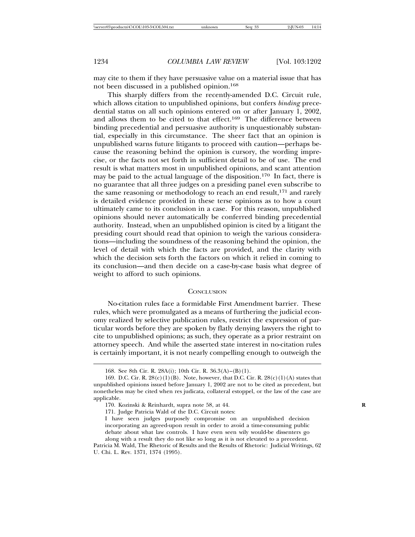may cite to them if they have persuasive value on a material issue that has not been discussed in a published opinion.<sup>168</sup>

This sharply differs from the recently-amended D.C. Circuit rule, which allows citation to unpublished opinions, but confers *binding* precedential status on all such opinions entered on or after January 1, 2002, and allows them to be cited to that effect.<sup>169</sup> The difference between binding precedential and persuasive authority is unquestionably substantial, especially in this circumstance. The sheer fact that an opinion is unpublished warns future litigants to proceed with caution—perhaps because the reasoning behind the opinion is cursory, the wording imprecise, or the facts not set forth in sufficient detail to be of use. The end result is what matters most in unpublished opinions, and scant attention may be paid to the actual language of the disposition.170 In fact, there is no guarantee that all three judges on a presiding panel even subscribe to the same reasoning or methodology to reach an end result,171 and rarely is detailed evidence provided in these terse opinions as to how a court ultimately came to its conclusion in a case. For this reason, unpublished opinions should never automatically be conferred binding precedential authority. Instead, when an unpublished opinion is cited by a litigant the presiding court should read that opinion to weigh the various considerations—including the soundness of the reasoning behind the opinion, the level of detail with which the facts are provided, and the clarity with which the decision sets forth the factors on which it relied in coming to its conclusion—and then decide on a case-by-case basis what degree of weight to afford to such opinions.

#### **CONCLUSION**

No-citation rules face a formidable First Amendment barrier. These rules, which were promulgated as a means of furthering the judicial economy realized by selective publication rules, restrict the expression of particular words before they are spoken by flatly denying lawyers the right to cite to unpublished opinions; as such, they operate as a prior restraint on attorney speech. And while the asserted state interest in no-citation rules is certainly important, it is not nearly compelling enough to outweigh the

<sup>168.</sup> See 8th Cir. R. 28A(i); 10th Cir. R. 36.3(A)–(B)(1).

<sup>169.</sup> D.C. Cir. R.  $28(c)(1)(B)$ . Note, however, that D.C. Cir. R.  $28(c)(1)(A)$  states that unpublished opinions issued before January 1, 2002 are not to be cited as precedent, but nonetheless may be cited when res judicata, collateral estoppel, or the law of the case are applicable.

<sup>170.</sup> Kozinski & Reinhardt, supra note 58, at 44. **R**

<sup>171.</sup> Judge Patricia Wald of the D.C. Circuit notes:

I have seen judges purposely compromise on an unpublished decision incorporating an agreed-upon result in order to avoid a time-consuming public debate about what law controls. I have even seen wily would-be dissenters go along with a result they do not like so long as it is not elevated to a precedent.

Patricia M. Wald, The Rhetoric of Results and the Results of Rhetoric: Judicial Writings, 62 U. Chi. L. Rev. 1371, 1374 (1995).